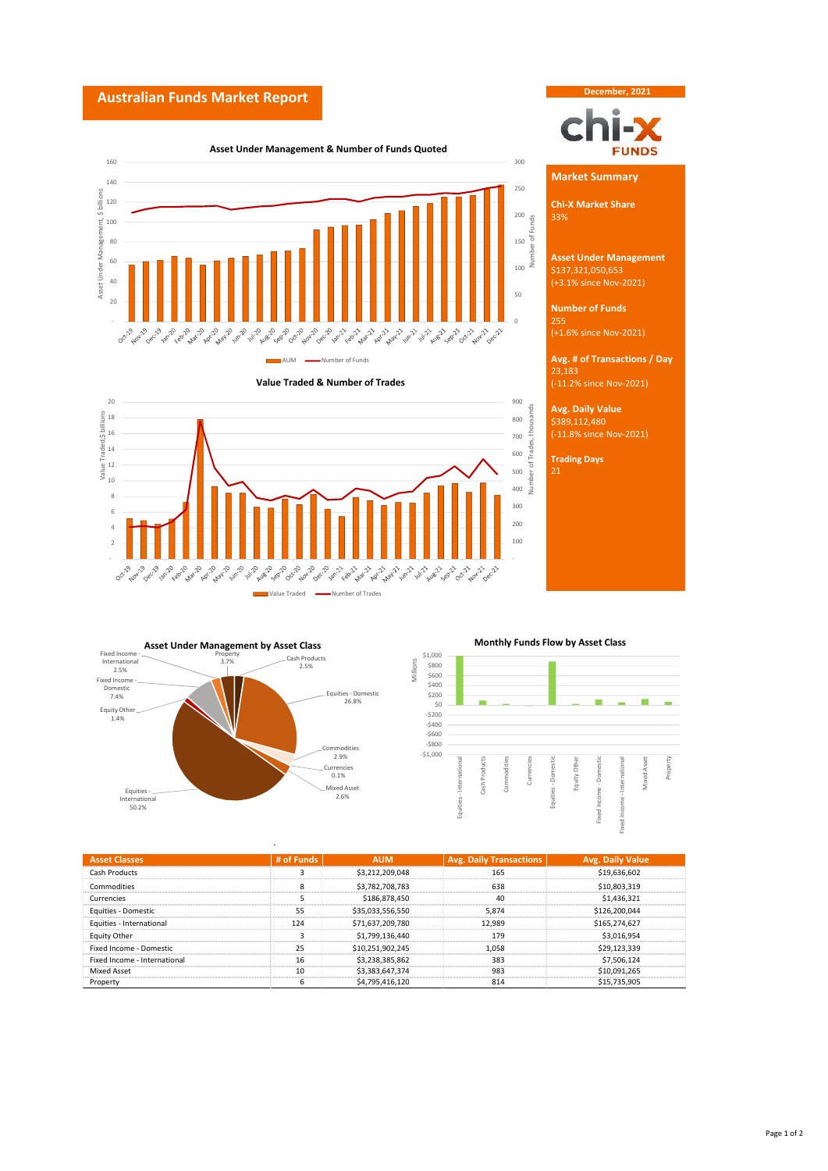## **Australian Funds Market Report**









 $\ddot{\phantom{0}}$ 





| <b>Asset Classes</b>         | # of Funds |                  | <b>Avg. Daily Transactions</b> | Avg. Daily Value |
|------------------------------|------------|------------------|--------------------------------|------------------|
| Cash Products                |            | \$3,212,209,048  | 165                            | \$19,636,602     |
| Commodities                  |            | \$3.782.708.783  | 638                            | \$10,803,319     |
| Currencies                   |            | \$186,878,450    |                                | \$1.436.321      |
| Equities - Domestic          |            | \$35,033,556,550 | 5.874                          | \$126,200,044    |
| Equities - International     | 124        | \$71,637,209,780 | 12.989                         | \$165,274,627    |
| <b>Equity Other</b>          |            | \$1,799,136,440  | 179                            | \$3.016.954      |
| Fixed Income - Domestic      | 25         | \$10.251.902.245 | 1.058                          | \$29.123.339     |
| Fixed Income - International | 16         | \$3,238,385,862  | 383                            | \$7.506.124      |
| <b>Mixed Asset</b>           | 10         | \$3.383.647.374  | 983                            | \$10.091.265     |
| Property                     |            | \$4,795,416,120  | 814                            | \$15.735.905     |

Millions

## **Asset Under Management & Number of Funds Quoted**

**Market Summary**

**December, 2021**

**FUNDS** 

١Î

**Chi-X Market Share**

Number of Funds

**Asset Under Management** (+3.1% since Nov-2021) \$137,321,050,653

**Number of Funds** 255 (+1.6% since Nov-2021)

**Avg. # of Transactions / Day** (-11.2% since Nov-2021) 23,183

**Avg. Daily Value** \$389,112,480

(-11.8% since Nov-2021)

**Trading Days** 21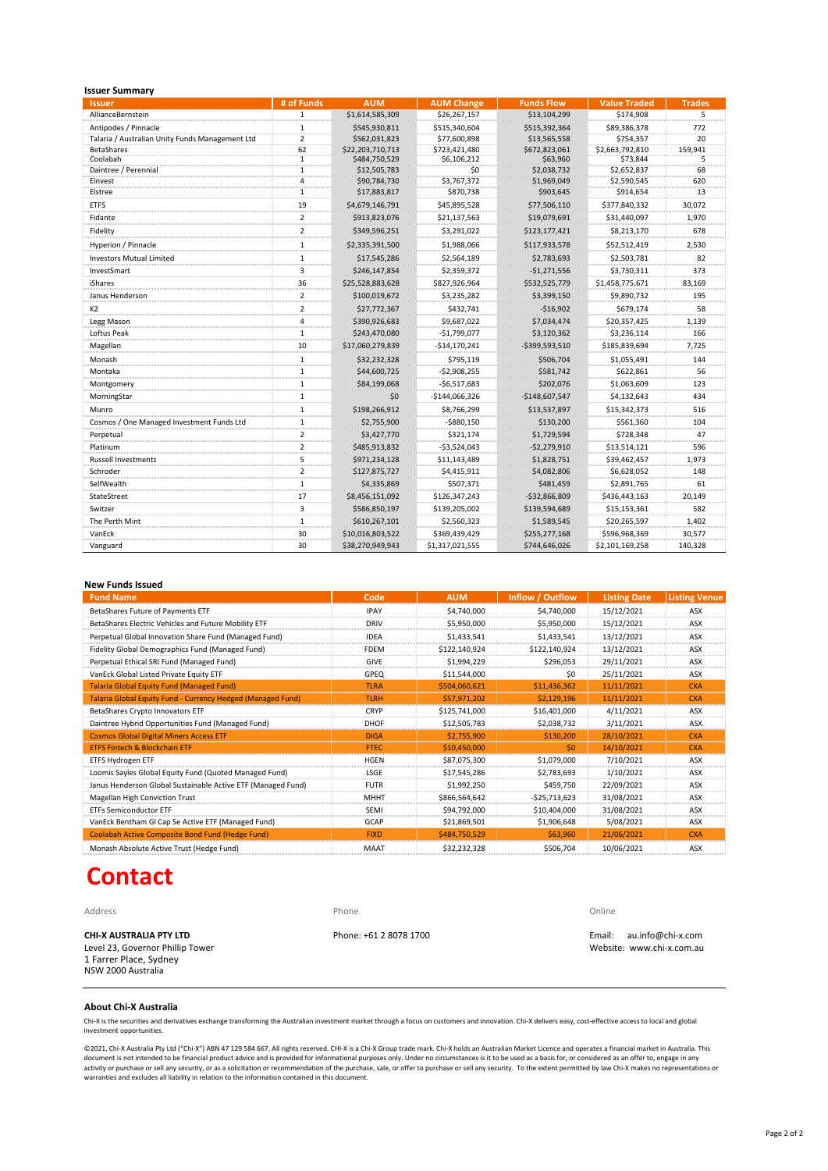| <b>Issuer Summary</b>                           |                         |                  |                   |                   |                     |               |
|-------------------------------------------------|-------------------------|------------------|-------------------|-------------------|---------------------|---------------|
| <b>Issuer</b>                                   | # of Funds              | <b>AUM</b>       | <b>AUM Change</b> | <b>Funds Flow</b> | <b>Value Traded</b> | <b>Trades</b> |
| AllianceBernstein                               | $\mathbf{1}$            | \$1,614,585,309  | \$26,267,157      | \$13,104,299      | \$174,908           | 5             |
| Antipodes / Pinnacle                            | 1                       | \$545,930,811    | \$515,340,604     | \$515,392,364     | \$89,386,378        | 772           |
| Talaria / Australian Unity Funds Management Ltd | $\overline{2}$          | \$562,031,823    | \$77,600,898      | \$13,565,558      | \$754,357           | 20            |
| <b>BetaShares</b>                               | 62                      | \$22,203,710,713 | \$723,421,480     | \$672,823,061     | \$2,663,792,810     | 159,941       |
| Coolabah                                        | ï                       | \$484,750,529    | \$6,106,212       | \$63,960          | \$73.844            |               |
| Daintree / Perennial                            | $\ddot{\mathbf{1}}$     | \$12,505,783     | \$0               | \$2,038,732       | \$2,652,837         | 68            |
| Einvest                                         | 4                       | \$90,784,730     | \$3,767,372       | \$1,969,049       | \$2,590,545         | 620           |
| Elstree                                         | 1                       | \$17,883,817     | \$870,738         | \$903,645         | \$914,654           | 13            |
| <b>ETFS</b>                                     | 19                      | \$4,679,146,791  | \$45,895,528      | \$77,506,110      | \$377,840,332       | 30,072        |
| Fidante                                         | $\overline{2}$          | \$913,823,076    | \$21,137,563      | \$19,079,691      | \$31,440,097        | 1,970         |
| Fidelity                                        | $\overline{2}$          | \$349,596,251    | \$3,291,022       | \$123,177,421     | \$8,213,170         | 678           |
| Hyperion / Pinnacle                             | 1                       | \$2,335,391,500  | \$1,988,066       | \$117,933,578     | \$52,512,419        | 2,530         |
| <b>Investors Mutual Limited</b>                 | 1                       | \$17,545,286     | \$2.564.189       | \$2,783,693       | \$2.503.781         | 82            |
| InvestSmart                                     | 3                       | \$246,147,854    | \$2.359.372       | $-$1,271,556$     | \$3.730.311         | 373           |
| iShares                                         | 36                      | \$25,528,883,628 | \$827,926,964     | \$532,525,779     | \$1,458,775,671     | 83,169        |
| Janus Henderson                                 | $\overline{2}$          | \$100,019,672    | \$3,235,282       | \$3,399,150       | \$9,890,732         | 195           |
| K <sub>2</sub>                                  | $\overline{2}$          | \$27,772,367     | \$432.741         | $-516.902$        | \$679.174           | 58            |
| Legg Mason                                      | 4                       | \$390,926,683    | \$9.687.022       | \$7,034,474       | \$20.357.425        | 1.139         |
| Loftus Peak                                     | 1                       | \$243,470,080    | $-$1,799,077$     | \$3,120,362       | \$3,236,114         | 166           |
| Magellan                                        | 10                      | \$17,060,279,839 | $-$14,170,241$    | $-$ \$399,593,510 | \$185,839,694       | 7,725         |
| Monash                                          | $\mathbf{1}$            | \$32,232,328     | \$795.119         | \$506,704         | \$1,055,491         | 144           |
| Montaka                                         | $\mathbf{1}$            | \$44,600,725     | $-52.908.255$     | \$581,742         | \$622,861           | 56            |
| Montgomery                                      | $\mathbf{1}$            | \$84,199,068     | $-56,517,683$     | \$202.076         | \$1.063.609         | 123           |
| MorningStar                                     | $\mathbf{1}$            | \$0              | $-5144.066.326$   | $-$148,607,547$   | \$4,132,643         | 434           |
| Munro                                           | 1                       | \$198,266,912    | \$8,766,299       | \$13,537,897      | \$15,342,373        | 516           |
| Cosmos / One Managed Investment Funds Ltd       | $\overline{1}$          | \$2,755,900      | $-$ \$880,150     | \$130,200         | \$561,360           | 104           |
| Perpetual                                       | $\overline{2}$          | \$3,427,770      | \$321.174         | \$1,729,594       | \$728.348           | 47            |
| Platinum                                        | $\overline{\mathbf{c}}$ | \$485,913,832    | $-$3,524,043$     | $-52,279,910$     | \$13,514,121        | 596           |
| <b>Russell Investments</b>                      | 5                       | \$971,234,128    | \$11,143,489      | \$1,828,751       | \$39,462,457        | 1,973         |
| Schroder                                        | $\overline{2}$          | \$127,875,727    | \$4,415,911       | \$4,082,806       | \$6,628,052         | 148           |
| SelfWealth                                      | $\mathbf{1}$            | \$4,335,869      | \$507,371         | \$481,459         | \$2,891,765         | 61            |
| StateStreet                                     | 17                      | \$8,456,151,092  | \$126,347,243     | $-532,866,809$    | \$436,443,163       | 20,149        |
| Switzer                                         | 3                       | \$586,850,197    | \$139,205,002     | \$139,594,689     | \$15,153,361        | 582           |
| The Perth Mint                                  | $\mathbf{1}$            | \$610,267,101    | \$2,560,323       | \$1,589,545       | \$20,265,597        | 1,402         |
| VanEck                                          | 30                      | \$10,016,803,522 | \$369,439,429     | \$255,277,168     | \$596,968,369       | 30,577        |
| Vanguard                                        | 30                      | \$38,270,949,943 | \$1,317,021,555   | \$744,646,026     | \$2,101,169,258     | 140,328       |

### **New Funds Issued**

| <b>Fund Name</b>                                             | Code             | <b>AUM</b>    | Inflow / Outflow | <b>Listing Date</b> | <b>Listing Venue</b> |
|--------------------------------------------------------------|------------------|---------------|------------------|---------------------|----------------------|
| BetaShares Future of Payments ETF                            | <b>IPAY</b>      | \$4,740,000   | \$4,740,000      | 15/12/2021          | ASX                  |
| BetaShares Electric Vehicles and Future Mobility ETF         | <b>DRIV</b><br>. | \$5,950,000   | \$5,950,000      | 15/12/2021          | ASX<br>.             |
| Perpetual Global Innovation Share Fund (Managed Fund)        | <b>IDEA</b>      | \$1,433,541   | \$1.433.541      | 13/12/2021          | ASX                  |
| Fidelity Global Demographics Fund (Managed Fund)             | <b>FDEM</b>      | \$122,140,924 | \$122,140,924    | 13/12/2021          | ASX                  |
| Perpetual Ethical SRI Fund (Managed Fund)                    | GIVE             | \$1,994,229   | \$296.053        | 29/11/2021          | ASX                  |
| VanEck Global Listed Private Equity ETF                      | GPEQ             | \$11.544.000  | \$0              | 25/11/2021          | ASX                  |
| <b>Talaria Global Equity Fund (Managed Fund)</b>             | <b>TLRA</b>      | \$504,060,621 | \$11,436,362     | 11/11/2021          | <b>CXA</b>           |
| Talaria Global Equity Fund - Currency Hedged (Managed Fund)  | <b>TLRH</b>      | \$57,971,202  | \$2,129,196      | 11/11/2021          | <b>CXA</b>           |
| BetaShares Crypto Innovators ETF                             | <b>CRYP</b>      | \$125,741,000 | \$16,401,000     | 4/11/2021           | ASX                  |
| Daintree Hybrid Opportunities Fund (Managed Fund)            | DHOF             | \$12,505,783  | \$2,038,732      | 3/11/2021           | ASX                  |
| <b>Cosmos Global Digital Miners Access ETF</b>               | <b>DIGA</b>      | \$2,755,900   | \$130,200        | 28/10/2021          | <b>CXA</b>           |
| <b>ETFS Fintech &amp; Blockchain ETF</b>                     | <b>FTEC</b>      | \$10,450,000  | \$0              | 14/10/2021          | <b>CXA</b>           |
| ETFS Hydrogen ETF                                            | <b>HGEN</b>      | \$87,075,300  | \$1,079,000      | 7/10/2021           | ASX                  |
| Loomis Sayles Global Equity Fund (Quoted Managed Fund)       | LSGE             | \$17.545.286  | \$2,783,693      | 1/10/2021           | ASX                  |
| Janus Henderson Global Sustainable Active ETF (Managed Fund) | <b>FUTR</b>      | \$1,992,250   | \$459,750        | 22/09/2021          | ASX                  |
| <b>Magellan High Conviction Trust</b>                        | MHH <sub>1</sub> | \$866,564,642 | $-525,713,623$   | 31/08/2021          | ASX                  |
| <b>ETFs Semiconductor ETF</b>                                | <b>SEMI</b>      | \$94,792,000  | \$10,404,000     | 31/08/2021          | ASX                  |
| VanEck Bentham GI Cap Se Active ETF (Managed Fund)           | GCAP             | \$21,869,501  | \$1,906,648      | 5/08/2021           | ASX                  |
| <b>Coolabah Active Composite Bond Fund (Hedge Fund)</b>      | <b>FIXD</b>      | \$484,750,529 | \$63,960         | 21/06/2021          | <b>CXA</b>           |
| Monash Absolute Active Trust (Hedge Fund)                    | MAAT             | \$32,232,328  | \$506.704        | 10/06/2021          | ASX                  |

# **Contact**

1 Farrer Place, Sydney NSW 2000 Australia

Address **Phone Community Community Community** Phone **Phone Community Community Community Community Community Community Community Community Community Community Community Community Community Community Community Community Com** 

**CHI-X AUSTRALIA PTY LTD** Phone: +61 2 8078 1700 Email: au.info@chi-x.com Level 23, Governor Phillip Tower Website: www.chi-x.com.au

## **About Chi-X Australia**

Chi-X is the securities and derivatives exchange transforming the Australian investment market through a focus on customers and innovation. Chi-X delivers easy, cost-effective access to local and global investment opportunities

©2021, Chi-X Australia Pty Ltd ("Chi-X") ABN 47 129 584 667. All rights reserved. CHI-X is a Chi-X Group trade mark. Chi-X holds an Australian Market Licence and operates a financial market in Australia. This<br>document is n activity or purchase or sell any security, or as a solicitation or recommendation of the purchase, sale, or offer to purchase or sell any security. To the extent permitted by law Chi-X makes no representations or<br>warrantie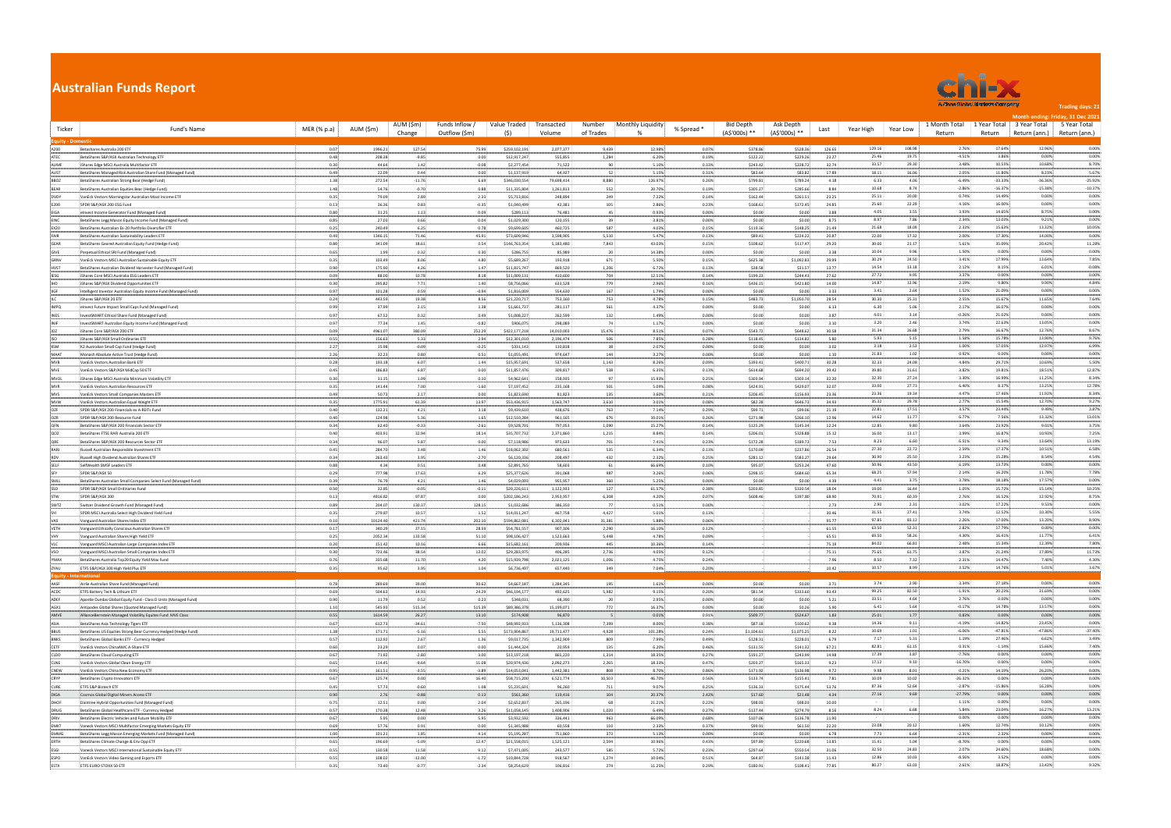|                                           | <b>Australian Funds Report</b><br>A Choe Global Markets Company<br>AUM (\$m)<br>Funds Inflow /<br>Value Traded<br>Monthly Liquidity<br><b>Bid Depth</b><br>1 Month Total<br>Transacted<br>Number<br>Ask Depth |                   |                   |                       |                                                   |                         |                |                  |                |                       |                        |                   |                                         |                       |                        | <b>Trading days: 21</b><br>Month ending: Friday, 31 Dec 2021 |                               |  |  |  |  |
|-------------------------------------------|---------------------------------------------------------------------------------------------------------------------------------------------------------------------------------------------------------------|-------------------|-------------------|-----------------------|---------------------------------------------------|-------------------------|----------------|------------------|----------------|-----------------------|------------------------|-------------------|-----------------------------------------|-----------------------|------------------------|--------------------------------------------------------------|-------------------------------|--|--|--|--|
| Ticker                                    | Fund's Name                                                                                                                                                                                                   | MER (% p.a)       | AUM (\$m)         | Change                | Outflow (\$m)<br>(5)                              | Volume                  | of Trades      |                  | % Spread *     | (A\$'000s) **         | (A\$'000s) **          | Year High<br>Last | Year Low                                | Return                | 1 Year Total<br>Return | 3 Year Total<br>Return (ann.)                                | 5 Year Total<br>Return (ann.) |  |  |  |  |
| uity - Domest                             |                                                                                                                                                                                                               |                   |                   |                       |                                                   |                         |                |                  |                |                       |                        |                   |                                         |                       |                        |                                                              |                               |  |  |  |  |
| A200<br>ATEC                              | Betashares Australia 200 ETF<br>: BetaShares S&P/ASX Australian Technology ETF                                                                                                                                | 0.07<br>0.48.     | 1996.21<br>208.38 | 127.54<br>$-9.85$ :   | 75.99<br>\$259,102,191<br>0.00<br>\$12,917,247    | 2,077,377<br>555,855    | 9,439<br>1,284 | 12.98%<br>6.20%  | 0.07%<br>0.19% | \$378.86<br>\$122.22  | \$528.36<br>\$229.26   | 126.65<br>23.27   | 129.16<br>108.98<br>19.75<br>25.46      | 2.76%<br>$-4.51%$     | 17.64%<br>3.86%        | 12.96%<br>0.00%                                              | 0.00%<br>0.00%                |  |  |  |  |
| AUMF                                      | iShares Edge MSCI Australia Multifactor ETF                                                                                                                                                                   | 0.30              | 44.64             | 1.42                  | $-0.08$<br>\$2,277,454                            | 71,522                  |                | 5.10%            | 0.33%          | \$243.42              | \$228.72               | 32.74             | 33.57<br>29.30                          | 3.48%                 | 10.55%                 | 10.68%                                                       | 8.70%                         |  |  |  |  |
| $\overline{\mathsf{AUST}}$<br><b>BBOZ</b> | BetaShares Managed Risk Australian Share Fund (Managed Fund)<br>BetaShares Australian Strong Bear (Hedge Fund)                                                                                                | 0.49.<br>1.38     | 22.09<br>272.54   | 0.44<br>$-11.76$      | 0.00<br>\$1,137,919<br>6.69<br>\$346,030,55       | 64,927<br>79,698,414    | 8,880          | 5.15%<br>126.97% | 0.31%<br>0.26% | \$83.64<br>\$799.81   | \$83.82<br>\$789.24    | 17.89<br>4.18     | 16.06<br>18.11<br>6.33<br>4.06          | 2.05%<br>$-6.49%$     | 11.80%<br>$-33.33%$    | 8.23%<br>$-36.36%$                                           | 5.67%<br>$-25.92%$            |  |  |  |  |
| BEAR                                      | BetaShares Australian Equities Bear (Hedge Fund)                                                                                                                                                              | 1.48              | 54.76             | $-0.70$               | 0.88<br>\$11,335,804                              | 1,261,813               | 552            | 20.70%           | 0.19%          | \$305.27              | \$285.66               | 8.84              | 10.68<br>8.74                           | $-2.86%$              | $-16.37%$              | $-15.38%$                                                    | $-10.37%$                     |  |  |  |  |
| DVDY<br>E200                              | VanEck Vectors Morningstar Australian Moat Income ETF<br>SPDR S&P/ASX 200 ESG Fund                                                                                                                            | 0.35<br>0.13      | 79.09<br>36.36    | 2.89<br>0.83          | 2.33<br>\$5,713,816<br>$-0.35$<br>\$1,040,499     | 248,894<br>42,381       | 249<br>105     | 7.22%<br>2.86%   | 0.14%<br>0.23% | \$162.44<br>\$168.61  | \$261.51<br>\$172.45   | 23.25<br>24.85    | 25.11<br>20.00:<br>25.60<br>22.29       | 0.74%<br>4.16%        | 14.49%<br>16.00%       | 0.00%<br>0.00%                                               | 0.00%<br>0.00%                |  |  |  |  |
| EIGA                                      | : elnvest Income Generator Fund (Managed Fund)                                                                                                                                                                | 0.80              | 31.25             | 1.13                  | 0.09<br>\$289,113                                 | 76,481                  |                | 0.93%            | 0.00%          | \$0.00                | \$0.00                 | 3.88              | 4.05<br>3.55                            | 3.93%                 | 14.65%                 | 8.75%                                                        | 0.00%                         |  |  |  |  |
| EINC<br><b>EX20</b>                       | BetaShares Legg Mason Equity Income Fund (Managed Fund)<br>BetaShares Australian Ex-20 Portfolio Diversifier ETI                                                                                              | 0.85:<br>0.25     | 27.03<br>240.49   | 0.66<br>6.25          | 0.04:<br>\$1,029,300<br>0.78<br>\$9,699,605       | 120,155<br>460,725      | 587            | 3.81%<br>4.03%   | 0.00%<br>0.15% | \$0.00<br>\$119.36    | \$0.00<br>\$148.25     | 8.75<br>21.49     | 8.97<br>7.86<br>21.68<br>18.09          | 2.34%<br>2.33%        | 13.03%<br>15.63%       | 9.21%<br>13.32%                                              | 0.00%<br>10.05%               |  |  |  |  |
| FAIR                                      | : BetaShares Australian Sustainability Leaders ETI                                                                                                                                                            | 0.49              | 1346.15           | 71.46                 | 45.91<br>\$73,609,946                             | 3,598,905               | 5,510          | 5.47%            | 0.13%          | \$89.41               | \$224.22               | 20.87             | 22.00<br>17.32                          | 2.00%                 | 17.30%                 | 14.00%                                                       | 0.00%                         |  |  |  |  |
| GEAR<br><b>GIVE</b>                       | BetaShares Geared Australian Equity Fund (Hedge Fund)<br>Perpetual Ethical SRI Fund (Managed Fund)                                                                                                            | 0.80<br>0.65      | 341.09<br>1.99    | 18.61.<br>0.32        | 0.54<br>\$146,763,354<br>0.30<br>\$286,755        | 5,183,480<br>85,989     | 7,843          | 43.03%<br>14.38% | 0.15%<br>0.00% | \$108.62<br>\$0.00    | \$117.47<br>\$0.00     | 29.20<br>3.38     | 30.00:<br>21.17<br>10.04<br>9.96        | 5.61%<br>1.50%        | 35.09%<br>0.00%        | 20.42%<br>0.00%                                              | 11.28%<br>0.00%               |  |  |  |  |
| GRNV                                      | : VanEck Vectors MSCI Australian Sustainable Equity ET                                                                                                                                                        | 0.35              | 103.49            | 8.06:                 | 4.80<br>\$5,689,267                               | 193,918                 | 671            | 5.50%            | 0.15%          | \$625.38              | \$1,092.83             | 29.99             | 24.50<br>30.29                          | 3.41%                 | 17.99%                 | 13.64%                                                       | 7.85%                         |  |  |  |  |
| HVST<br>IESG                              | BetaShares Australian Dividend Harvester Fund (Managed Fund)<br>iShares Core MSCI Australia ESG Leaders ETF                                                                                                   | 0.90.<br>0.09     | 175.90<br>88.00   | 4.26<br>10.78         | 1.47<br>\$11,815,747<br>8.18<br>\$11,009,131      | 869,520<br>410,600      | 1,206<br>704   | 6.72%<br>12.51%  | 0.13%<br>0.14% | \$38.58<br>\$199.23   | \$31.57<br>\$244.43    | 13.77<br>27.62    | 14.54<br>13.18<br>27.72<br>9.95         | 2.12%<br>3.37%        | 8.15%<br>0.00%         | 6.01%<br>0.00%                                               | $-0.08%$<br>0.00%             |  |  |  |  |
| <b>IHD</b>                                | IShares S&P/ASX Dividend Opportunities ETF                                                                                                                                                                    | 0.30              | 295.82            | 7.71                  | \$8,756,066<br>1.40                               | 633,528                 | 779            | 2.96%            | 0.16%          | \$436.15              | \$421.80               | 14.00             | 14.87<br>12.96                          | 2.19%                 | 9.80%                  | 9.90%                                                        | 4.84%                         |  |  |  |  |
| IIGF                                      | Intelligent Investor Australian Equity Income Fund (Managed Fund)                                                                                                                                             | 0.97              | 101.28            | 0.59                  | $-0.94$<br>\$1,816,009                            | 554,630                 | 167            | 1.79%            | 0.00%          | \$0.00                | \$0.00                 | 3.33              | 3.41<br>2.64                            | 1.52%                 | 21.09%                 | 0.00%                                                        | 0.00%                         |  |  |  |  |
| <b>IMPO</b>                               | IShares S&P/ASX 20 ETF<br>elnvest Future Impact Small Caps Fund (Managed Fund)                                                                                                                                | 0.24<br>0.99      | 443.59<br>37.99   | 19.38<br>2.15         | 8.56<br>\$21,220,717<br>1.38<br>\$1,661,737       | 753,160<br>281,117      | 753<br>56      | 4.78%<br>4.37%   | 0.15%<br>0.00% | \$483.73<br>\$0.00    | \$1,050.70<br>\$0.00   | 28.54<br>6.13     | 30.30<br>25.31<br>6.30<br>5.06          | 2.55%<br>2.17%        | 15.67%<br>16.07%       | 11.65%<br>0.00%                                              | 7.64%<br>0.00%                |  |  |  |  |
| INES                                      | InvestSMART Ethical Share Fund (Managed Fund)                                                                                                                                                                 | 0.97              | 67.52             | 0.32                  | 0.49<br>\$1,008,22                                | 262,599                 | 132            | 1.49%            | 0.00%          | \$0.00                | \$0.00                 | 3.87              | 4.01<br>3.14                            | $-0.26%$              | 21.02%                 | 0.00%                                                        | 0.00%                         |  |  |  |  |
| INIF<br>IOZ                               | InvestSMART Australian Equity Income Fund (Managed Fund)<br>: iShares Core S&P/ASX 200 ETF                                                                                                                    | 0.97<br>0.09.     | 77.34<br>4961.07  | 1.45<br>380.09        | $-0.82$<br>\$906,075<br>252.29<br>\$422,177,218   | 298,089<br>14,010,003   | 15,476         | 1.17%<br>8.51%   | 0.00%<br>0.07% | \$0.00<br>\$543.72    | 50.00<br>\$648.62      | 3.10<br>30.58     | 2.46<br>3.20<br>31.34<br>26.68          | 3.74%<br>2.79%        | 22.63%<br>16.67%       | 13.05%<br>12.76%                                             | 0.00%<br>8.67%                |  |  |  |  |
| <b>ISO</b>                                | : iShares S&P/ASX Small Ordinaries ETF                                                                                                                                                                        | 0.55              | 156.63            | 5.33                  | 2.94<br>\$12,301,010                              | 2,196,474               | 506            | 7.85%            | 0.28%          | \$118.45              | \$134.82               | 5.80              | 5.93<br>5.15                            | 1.58%                 | 15.78%                 | 13.90%                                                       | 9.76%                         |  |  |  |  |
| <b>KSM</b><br>MAAT                        | K2 Australian Small Cap Fund (Hedge Fund)<br>Monash Absolute Active Trust (Hedge Fund)                                                                                                                        | 2.27<br>2.26      | 15.98<br>32.23    | $-0.09$<br>0.80       | $-0.25$<br>\$331,143<br>0.51<br>\$1,055,491       | 110,818<br>974,647      | 38<br>144      | 2.07%<br>3.27%   | 0.00%<br>0.00% | \$0.00<br>\$0.00      | \$0.00<br>\$0.00       | 3.02<br>1.10      | 3.18<br>2.53<br>1.02:<br>21.83          | 1.00%<br>0.92%        | 17.05%<br>0.00%        | 12.97%<br>0.00%                                              | 6.99%<br>0.00%                |  |  |  |  |
| MVB                                       | : VanEck Vectors Australian Bank ET                                                                                                                                                                           | 0.28.             | 193.18            | 6.07:                 | 1.44<br>\$15,957,691                              | 537,658                 | 1,143          | 8.26%            | 0.09%          | \$393.41              | \$400.71               | 30.28             | 32.33<br>24.08                          | 4.84%                 | 29.71%                 | 10.69%                                                       | 5.50%                         |  |  |  |  |
| MVE                                       | VanEck Vectors S&P/ASX MidCap 50 ETF                                                                                                                                                                          | 0.45              | 186.83            | 6.87                  | 0.00<br>\$11,857,476                              | 309,817                 | 538            | 6.35%            | 0.13%          | \$614.68              | \$694.20               | 39.42             | 39.80<br>31.61<br>32.30<br>27.24        | 3.82%<br>3.30%        | 19.81%<br>16.99%       | 18.51%<br>11.25%                                             | 12.87%<br>8.34%               |  |  |  |  |
| MVOL<br>$\ensuremath{\mathsf{MVR}}$       | IShares Edge MSCI Australia Minimum Volatility ETF<br>VanEck Vectors Australian Resources ET                                                                                                                  | 0.30<br>0.35      | 31.15<br>141.44   | 1.09:<br>7.00:        | 0.10<br>\$4,962,641<br>$-1.60$<br>\$7,197,452     | 158,935<br>235,168      | 50             | 15.93%<br>5.09%  | 0.25%<br>0.08% | \$303.94<br>\$424.91  | \$303.14<br>\$429.07   | 32.20<br>32.07    | 33.00<br>27.73                          | 6.40%                 | 8.37%                  | 13.25%                                                       | 12.78%                        |  |  |  |  |
| MVS                                       | VanEck Vectors Small Companies Masters ETF                                                                                                                                                                    | 0.49              | 50.73             | 2.17                  | 0.00<br>\$1,823,690                               | 81,823                  | 13             | 3.60%            | 0.21%          | \$206.45              | \$156.93               | 23.36             | 23.36<br>19.34                          | 4.47%                 | 17.46%                 | 11.92%                                                       | 8.34%                         |  |  |  |  |
| MVW<br>OZF                                | VanEck Vectors Australian Equal Weight ETF<br>SPDR S&P/ASX 200 Financials ex A-REITs Fund                                                                                                                     | 0.35<br>0.40.     | 1775.91<br>132.21 | 61.39<br>$4.21$ :     | 13.97<br>\$53,436,915<br>3.18<br>\$9,439,610      | 1,563,747<br>438,676    | 3,610<br>763   | 3.01%<br>7.14%   | 0.08%<br>0.29% | \$82.28<br>\$99.71    | \$646.73<br>\$99.06    | 34.93<br>21.19    | 35.32<br>29.78<br>22.81<br>17.51        | 2.77%<br>3.57%        | 15.54%<br>23.44%       | 12.70%<br>9.49%                                              | 9.27%<br>3.87%                |  |  |  |  |
| OZR                                       | : SPDR S&P/ASX 200 Resource Fund                                                                                                                                                                              | 0.40              | 124.98            | 5.36                  | 1.65<br>\$12,510,284                              | 961,165                 | 676            | 10.01%           | 0.26%          | \$271.98              | \$266.10               | 12.96             | 14.62<br>11.77                          | 6.77%                 | 7.56%                  | 13.32%                                                       | 13.01%                        |  |  |  |  |
| <b>QFN</b><br>QOZ                         | BetaShares S&P/ASX 200 Financials Sector ETF<br>BetaShares FTSE RAFI Australia 200 ET                                                                                                                         | 0.34<br>0.40.     | 62.40<br>403.91   | $-0.33$<br>32.94      | $-2.61$<br>\$9,528,701<br>18.14<br>\$35,707,732   | 797,053<br>2,371,860    | 1,090<br>1,215 | 15.27%<br>8.84%  | 0.14%<br>0.14% | \$125.29<br>\$206.01  | \$145.34<br>\$328.88   | 12.24<br>15.12    | 12.85<br>9.80:<br>16.00<br>13.17        | 3.64%<br>3.99%        | 23.92%<br>16.87%       | 9.01%<br>10.93%                                              | 3.75%<br>7.25%                |  |  |  |  |
| ORE                                       | BetaShares S&P/ASX 200 Resources Sector ETF                                                                                                                                                                   | 0.34              | 96.07             | 5.87                  | 0.00<br>\$7,118,986                               | 973,633                 | 70             | 7.41%            | 0.23%          | \$172.28              | \$189.73               | 7.53              | 8.23<br>6.60                            | 6.51%                 | 9.34%                  | 13.64%                                                       | 13.19%                        |  |  |  |  |
| RARI                                      | Russell Australian Responsible Investment ETF<br>Russell High Dividend Australian Shares ETI                                                                                                                  | 0.45<br>0.34      | 284.70<br>263.43  | 3.48<br>3.95          | \$18,062,302<br>1.46<br>$-2.70$<br>\$6,120,336    | 680,561<br>208,497      | 53<br>432      | 6.34%<br>2.32%   | 0.13%<br>0.25% | \$170.09<br>\$281.12  | \$237.86<br>\$583.27   | 26.54<br>29.64    | 27.30<br>22.72<br>30.90<br>25.50        | 2.59%<br>3.23%        | 17.37%<br>15.28%       | 10.51%<br>8.54%                                              | 6.58%<br>4.54%                |  |  |  |  |
| RDV<br>SELF                               | SelfWealth SMSF Leaders ETF                                                                                                                                                                                   | 0.88              | 4.34              | $0.51$ :              | 0.48<br>\$2,891,765                               | 58,603                  |                | 66.69%           | 0.10%          | \$95.07               | \$253.24               | 47.60             | 50.96<br>43.50                          | 6.19%                 | 13.73%                 | 0.00%                                                        | 0.00%                         |  |  |  |  |
| SFY                                       | SPDR S&P/ASX 50                                                                                                                                                                                               | 0.29              | 777.98<br>76.79   | 17.63                 | \$25,377,626<br>6.29<br>\$4,029,003<br>1.46       | 391,068<br>955,957      | 98<br>360      | 3.26%<br>5.25%   | 0.06%<br>0.00% | \$298.15<br>\$0.00    | \$684.60<br>\$0.00     | 65.34<br>4.39     | 57.94<br>68.25<br>3.75<br>4.41          | 2.14%<br>3.78%        | 16.20%<br>18.18%       | 11.78%<br>17.57%                                             | 7.78%<br>0.00%                |  |  |  |  |
| SMLL<br>SSO                               | BetaShares Australian Small Companies Select Fund (Managed Fund)<br>SPDR S&P/ASX Small Ordinaries Fund                                                                                                        | 0.39<br>0.50:     | 32.85             | 4.21<br>$-0.05$ :     | $-0.11$<br>\$20,226,61                            | 1,122,933               | 127            | 61.57%           | 0.38%          | \$203.85              | \$330.54               | 18.04             | 16.44<br>19.00                          | 1.05%                 | 15.72%                 | 15.14%                                                       | 10.25%                        |  |  |  |  |
| STW                                       | SPDR S&P/ASX 200                                                                                                                                                                                              | 0.13              | 4816.82           | 97.87                 | 0.00<br>\$202,186,243                             | 2,953,957               | 6,308          | 4.20%            | 0.07%          | \$608.46              | \$397.80               | 68.90             | 70.91<br>60.39<br>2.90<br>2.31:         | 2.76%<br>3.02%        | 16.52%                 | 12.92%<br>9.53%                                              | 8.75%<br>0.00%                |  |  |  |  |
| SWTZ                                      | Switzer Dividend Growth Fund (Managed Fund)<br>SPDR MSCI Australia Select High Dividend Yield Fund                                                                                                            | 0.89<br>0.35:     | 204.07<br>279.87  | 130.37<br>10.57       | \$1,032,686<br>128.15<br>1.52:<br>\$14,011,247    | 386,350<br>467,758      | 4,427          | 0.51%<br>5.01%   | 0.00%<br>0.13% |                       |                        | 2.73<br>30.46     | 31.55<br>27.41                          | 3.74%                 | 17.22%<br>12.52%       | 10.30%                                                       | 5.55%                         |  |  |  |  |
| VAS                                       | Vanguard Australian Shares Index ETF                                                                                                                                                                          | 0.10              | 10124.40          | 421.74                | 202.10<br>\$594,862,081                           | 6,302,041               | 31,381         | 5.88%            | 0.06%          |                       |                        | 95.77             | 97.85<br>83.12                          | 2.26%                 | 17.00%                 | 13.20%                                                       | 8.90%                         |  |  |  |  |
| VETH                                      | Vanguard Ethically Conscious Australian Shares ETF<br>Vanguard Australian Shares High Yield ETF                                                                                                               | 0.17<br>0.25      | 340.29<br>2052.34 | 37.15<br>133.58       | 28.59<br>\$54,781,557<br>51.10<br>\$98,106,427    | 907,306<br>1,523,663    | 2,290<br>5,448 | 16.10%<br>4.78%  | 0.12%<br>0.09% |                       |                        | 61.55<br>65.51    | 63.50<br>52.31<br>69.50<br>58.26        | 2.82%<br>4.30%        | 17.79%<br>16.41%       | 0.00%<br>11.77%                                              | 0.00%<br>6.41%                |  |  |  |  |
| VLC                                       | Vanguard MSCI Australian Large Companies Index ETF                                                                                                                                                            | 0.20              | 151.42            | 10.16                 | 6.66<br>\$15,682,161                              | 209,936                 | 44             | 10.36%           | 0.14%          |                       |                        | 75.19             | 84.02<br>66.81                          | 2.48%                 | 15.34%                 | 12.39%                                                       | 7.80%                         |  |  |  |  |
| VSO <sub>1</sub><br>YMAX                  | Vanguard MSCI Australian Small Companies Index ETF<br>BetaShares Australia Top20 Equity Yield Max Fund                                                                                                        | $0.30 -$<br>0.76  | 723.46<br>335.68  | 38.54<br>11.70        | 12.02<br>\$29,283,975<br>4.20<br>\$15,939,798     | 406,285<br>2,021,125    | 2,736<br>1,006 | 4.05%<br>4.75%   | 0.12%<br>0.24% |                       |                        | 75.11<br>7.96     | 75.65<br>61.75<br>8.50<br>7.32:         | 3.87%<br>2.31%        | 21.24%<br>14.47%       | 17.89%<br>7.40%                                              | 11.73%<br>4.30%               |  |  |  |  |
| ZYAU                                      | ETFS S&P/ASX 300 High Yield Plus ETF                                                                                                                                                                          | 0.35              | 95.62             | 3.95                  | 1.04<br>\$6,736,497                               | 657,440                 | 349            | 7.04%            | 0.20%          |                       |                        | 10.42             | 10.57<br>8.99                           | 3.52%                 | 14.76%                 | 5.01%                                                        | 3.67%                         |  |  |  |  |
| Equity - International<br>AASF            | Airlie Australian Share Fund (Managed Fund)                                                                                                                                                                   | 0.78 <sup>2</sup> | 289.69            | 39.00                 | \$4,667,187<br>30.62                              | 1,284,345               | 195            | 1.61%            | $0.00\%$       | \$0.00                | \$0.00                 | 3.71              | 3.74:<br>2.90:                          | 3.34%                 | 27.18%                 | 0.00%                                                        | 0.00%                         |  |  |  |  |
| ACDC                                      | : ETFS Battery Tech & Lithium ETF                                                                                                                                                                             | 0.69.             | 504.63            | 14.93                 | 24.29<br>\$46,194,177                             | 492,625                 | 5,982          | 9.15%            | 0.20%          | \$81.54               | \$333.60               | 93.43             | 99.25<br>82.50                          | $-1.91%$              | 20.23%                 | 31.69%                                                       | 0.00%                         |  |  |  |  |
| ADEF<br>AGX1                              | Apostle Dundas Global Equity Fund - Class D Units (Managed Fund)<br>Antipodes Global Shares (Quoted Managed Fund)                                                                                             | 0.90<br>1.10      | 11.79<br>545.93   | 0.52<br>515.34        | 0.23<br>\$348,031<br>515.39<br>\$89,386,378       | 68,390<br>15,199,071    | 772            | 2.95%<br>16.37%  | 0.00%<br>0.00% | \$0.00<br>\$0.00      | \$0.00<br>\$0.26       | 5.21<br>5.90      | 33.51<br>4.64<br>6.41<br>5.64           | 2.76%<br>$-0.17%$     | 0.00%<br>14.78%        | 0.00%<br>13.57%                                              | 0.00%<br>0.00%                |  |  |  |  |
| AMVE                                      | : AllianceBernstein Managed Volatility Equites Fund MVE Class                                                                                                                                                 | 0.55              | 1614.59           | 26.27                 | 13.10<br>\$174,908                                | 96,870                  |                | 0.01%            | 0.91%          | \$509.77              | \$524.67               | 1.83              | 25.01<br>1.77                           | 0.83%                 | 0.00%                  | 0.00%                                                        | 0.00%                         |  |  |  |  |
| ASIA<br><b>BBUS</b>                       | BetaShares Asia Technology Tigers ETF                                                                                                                                                                         | 0.67<br>1.38      | 612.73<br>171.71  | $-34.61$<br>$-5.16$   | $-7.50$<br>\$48,992,933<br>5.55<br>\$173,904,867  | 5,136,308<br>19,711,477 | 7,399<br>4,928 | 8.00%<br>101.28% | 0.38%<br>0.24% | \$87.18<br>\$1,104.61 | \$100.62<br>\$1,075.25 | 9.38<br>8.22      | 9.11<br>14.36<br>10.69<br>1.01:         | $-4.19%$<br>$-6.06%$  | $-14.82%$<br>$-47.81%$ | 23.45%<br>$-47.86%$                                          | 0.00%<br>$-37.40%$            |  |  |  |  |
| BNKS<br>                                  | BetaShares US Equities Strong Bear Currency Hedged (Hedge Fund)<br>: BetaShares Global Banks ETF - Currency Hedged                                                                                            | 0.57              | 112.92            | 2.67:                 | 1.36<br>\$9,017,735                               | 1,342,909               | 809            | 7.99%            | 0.49%          | \$128.31              | \$228.01               | 6.79              | 7.17<br>5.31                            | 1.19%                 | 27.46%                 | 6.62%                                                        | 3.49%                         |  |  |  |  |
| CETF                                      | VanEck Vectors ChinaAMC A-Share ETF                                                                                                                                                                           | 0.60              | 23.29             | 0.07                  | 0.00<br>\$1,444,324                               | 20,959                  | 135            | 6.20%            | 0.46%          | \$131.55              | \$141.32               | 67.21             | 82.81<br>61.15                          | 0.31%                 | $-1.14%$               | 15.66%                                                       | 7.40%                         |  |  |  |  |
| CLDD<br>CLNE                              | BetaShares Cloud Computing ETF<br>VanEck Vectors Global Clean Energy ETF                                                                                                                                      | 0.67<br>0.65      | 71.92<br>114.45   | $-2.80$<br>$-9.64$    | \$13,197,218<br>3.00:<br>11.08<br>\$20,974,436.   | 865,220<br>2,092,273    | 1,314<br>2,265 | 18.35%<br>18.33% | 0.27%<br>0.47% | \$191.27<br>\$203.27  | \$243.99<br>\$165.33   | 14.98<br>9.23     | 17.39<br>3.87<br>17.12<br>9.10          | $-7.76%$<br>$-16.70%$ | 0.00%<br>0.00%         | 0.00%<br>0.00%                                               | 0.00%<br>0.00%                |  |  |  |  |
| CNEW                                      | VanEck Vectors China New Economy ETF                                                                                                                                                                          | 0.95              | 161.51            | $-3.55$               | $-3.89$<br>\$14,053,041                           | 1,442,381               | 808            | 8.70%            | 0.86%          | \$171.92              | \$136.98               | 9.72              | 9.98<br>8.01                            | 0.21%                 | 14.19%                 | 26.20%                                                       | 0.00%                         |  |  |  |  |
| CRYP<br>CURE                              | BetaShares Crypto Innovators ETF<br>ETFS S&P Biotech ETF                                                                                                                                                      | 0.67<br>0.45      | 125.74<br>57.73   | 0.00<br>$-0.60$       | \$58,715,200<br>16.40<br>1.08<br>\$5,235,601      | 6,521,774<br>96,260     | 10,503<br>711  | 46.70%<br>9.07%  | 0.56%<br>0.25% | \$133.74<br>\$136.33  | \$155.41<br>\$175.44   | 7.81<br>53.76     | 10.09<br>10.02:<br>87.36<br>52.64       | $-26.32%$<br>$-2.87%$ | 0.00%<br>$-15.86%$     | 0.00%<br>16.28%                                              | 0.00%<br>0.00%                |  |  |  |  |
| DIGA                                      | : Cosmos Global Digital Miners Access ETF                                                                                                                                                                     | 0.90.             | 2.76              | $-0.88:$              | 0.13<br>\$561,360                                 | 119,416                 | 104            | 20.37%           | 2.42%          | \$17.60               | \$21.48                | 4.34              | 27.16<br>9.69                           | $-27.79%$             | 0.00%                  | 0.00%                                                        | 0.00%                         |  |  |  |  |
| DHOF<br>DRUG                              | Daintree Hybrid Opportunities Fund (Managed Fund)<br>BetaShares Global Healthcare ETF - Currency Hedged                                                                                                       | 0.75<br>0.57      | 12.51<br>170.38   | 0.00<br>12.48         | 2.04<br>\$2,652,837<br>3.26<br>\$11,058,145       | 265,196<br>1,408,906    | 1,020          | 21.21%<br>6.49%  | 0.22%<br>0.27% | \$98.03<br>\$137.44   | \$98.03<br>\$274.79    | 10.00<br>8.16     | <b>State</b><br>$\sim$<br>8.24<br>6.68: | 1.11%<br>5.84%        | 0.00%<br>23.04%        | 0.00%<br>16.27%                                              | 0.00%<br>13.21%               |  |  |  |  |
| DRIV                                      | : BetaShares Electric Vehicles and Future Mobility ETF                                                                                                                                                        | 0.67.             | 5.95              | 0.00:                 | \$3,932,592<br>5.95                               | 336,441                 | 963            | 66.09%           | 0.68%          | \$107.06              | \$136.78               | 11.90             | $\sim$                                  | 0.00%                 | 0.00%                  | 0.00%                                                        | 0.00%                         |  |  |  |  |
| <b>EMKT</b>                               | Vaneck Vectors MSCI Multifactor Emerging Markets Equity ETF                                                                                                                                                   | 0.69.             | 57.76             | 0.91                  | 0.00:<br>\$1,345,988                              | 60,558                  | 110            | 2.33%            | 0.37%          | \$99.91               | \$61.50                | 22.20             | 23.08<br>$20.12$ :                      | 1.60%                 | 12.74%                 | 10.12%                                                       | 0.00%                         |  |  |  |  |
| EMMG<br>ERTH                              | BetaShares Legg Mason Emerging Markets Fund (Managed Fund)<br>: BetaShares Climate Change & Env Opp ETF                                                                                                       | 1.00<br>0.65      | 101.21<br>196.69  | 1.85<br>$-5.09:$      | 4.14<br>\$5,195,287<br>12.47<br>\$21,558,015      | 751,860<br>1,525,121    | 373<br>2,594   | 5.13%<br>10.96%  | 0.00%<br>0.43% | \$0.00<br>\$97.89     | \$0.00<br>\$220.68     | 6.78<br>13.85     | 7.73<br>6.64<br>15.41<br>5.04           | $-2.31%$<br>$-8.70%$  | 2.32%<br>0.00%         | 0.00%<br>0.00%                                               | 0.00%<br>0.00%                |  |  |  |  |
| ESGI                                      | Vaneck Vectors MSCI International Sustainable Equity ETF                                                                                                                                                      | 0.55              | 130.58            | 11.58                 | 9.12<br>\$7,471,005                               | 243,577                 | 58             | 5.72%            | 0.23%          | \$297.64              | \$550.54               | 31.06             | 32.50<br>24.83                          | 2.07%                 | 24.60%                 | 18.68%                                                       | 0.00%                         |  |  |  |  |
| ESPO<br>ESTX                              | VanEck Vectors Video Gaming and Esports ETF<br>ETFS EURO STOXX 50 ETF                                                                                                                                         | 0.55<br>0.35      | 108.02<br>73.40   | $-12.00$<br>$-0.77$ : | $-1.72$<br>\$10,844,728<br>$-2.34$<br>\$8,254,629 | 918,567<br>106,816      | 1,274<br>274   | 10.04%<br>11.25% | 0.51%<br>0.29% | \$64.87<br>\$180.91   | \$141.38<br>\$108.41   | 11.43<br>77.85    | 12.86<br>10.03<br>80.27<br>63.03        | $-8.56%$<br>2.61%     | 3.52%<br>18.87%        | 0.00%<br>13.42%                                              | 0.00%<br>9.32%                |  |  |  |  |
|                                           |                                                                                                                                                                                                               |                   |                   |                       |                                                   |                         |                |                  |                |                       |                        |                   |                                         |                       |                        |                                                              |                               |  |  |  |  |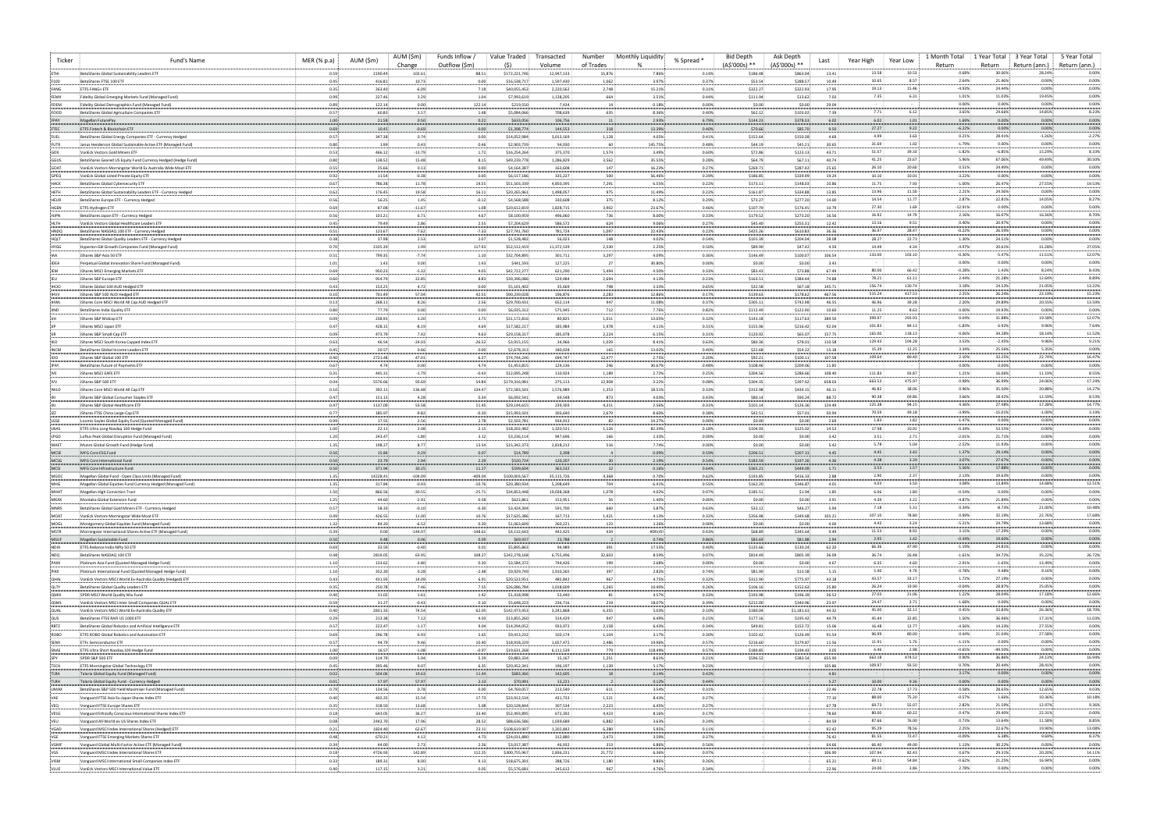| Ticker                  | Fund's Name                                                                                                                | MER $(% p.a)$                 | AUM (\$m)          | AUM (\$m)<br>Change | Funds Inflow /<br>Outflow (\$m) | Value Traded                  | Transacted<br>Volume    | Number<br>of Trades | Monthly Liquidity | % Spread *     | <b>Bid Depth</b><br>(A\$'000s) ** | Ask Depth<br>(A\$'000s) ** | Year High<br>Last | Year Low                             | 1 Month Total<br>Return | 1 Year Total<br>Return               | 3 Year Total<br>Return (ann.) | 5 Year Total<br>Return (ann.) |
|-------------------------|----------------------------------------------------------------------------------------------------------------------------|-------------------------------|--------------------|---------------------|---------------------------------|-------------------------------|-------------------------|---------------------|-------------------|----------------|-----------------------------------|----------------------------|-------------------|--------------------------------------|-------------------------|--------------------------------------|-------------------------------|-------------------------------|
|                         | BetaShares Global Sustainability Leaders ETF                                                                               | 0.59                          | 2190.49            | 102.61              | 88.51                           | \$172,221,746                 | 12,947,133              | 15,876              | 7.86%             | 0.14%          | \$186.48                          | \$863.04                   | 13.41             | 10.53<br>13.58                       | 0.68%                   | 30.06%                               | 28.24%                        | 0.00%                         |
| F100<br>FANG            | BetaShares FTSE 100 ETF<br>FTFS FANG+ FTF                                                                                  | 0.45<br>0.35                  | 416.81<br>263.40   | 10.73<br>$-6.09$    | 0.00<br>7.18                    | \$16,538,71<br>\$40,055.452   | 1,597,430<br>2,220,562  | 1,062<br>2,748      | 3.97%<br>15.21%   | 0.37%<br>0.31% | \$53.54<br>\$322.27               | \$288.57<br>\$322.93       | 10.49<br>17.95    | 10.65<br>8.57<br>19.13<br>15.46      | $-4.93%$                | 2.64%<br>21.46%<br>24.44%            | 0.00%<br>0.00%                | 0.00%<br>0.00%                |
| FEMX                    | Fidelity Global Emerging Markets Fund (Managed Fund)                                                                       | 0.99 <sub>1</sub>             | 227.46             | 3.29                | 1.04                            | \$7,993,619                   | 1,138,205               | 664                 | 3.51%             | 0.44%          | \$111.94                          | \$13.62                    | 7.03              | 6.31<br>7.35                         |                         | 1.01%<br>11.03%                      | 19.45%                        | 0.00%                         |
| FDEM                    | Fidelity Global Demographics Fund (Managed Fund)                                                                           | 0.89                          | 122.14             | 0.00.               | 122.14                          | \$219,550                     | 7,434                   |                     | 0.18%             | 0.00%          | \$0.00                            | \$0.00                     | 29.04             | 7.71:<br>6.12:                       | 0.00%                   | 0.00%<br>3.65%<br>24.66%             | 0.00%<br>14.85%               | 0.00%<br>8.23%                |
| FOOD<br>FPAY            | BetaShares Global Agriculture Companies ETF<br>Magellan FuturePay                                                          | 0.57.<br>1.00                 | 60.83<br>21.58     | 3.57:<br>$0.50 -$   | 1.48<br>0.22                    | \$5,084,066<br>\$633,056      | 708,639<br>106,756      | 635                 | 8.36%<br>2.93%    | 0.40%<br>6.79% | \$62.12<br>\$144.23               | \$103.02<br>\$378.33       | 7.39<br>6.02      | 6.02<br>1.01:                        |                         | 1.69%<br>0.00%                       | 0.00%                         | 0.00%                         |
| FTEC                    | ETFS Fintech & Blockchain ETF                                                                                              | 0.69.                         | 10.45              | $-0.69$             | 0.00                            | \$1,398,774                   | 144,553                 | 318                 | 13.39%            | 0.40%          | \$70.66                           | \$85.70                    | 9.50              | 27.27<br>9.22                        | $-6.22%$                | 0.00%                                | 0.00%                         | 0.00%                         |
| FUEL<br><b>FUTR</b>     | : BetaShares Global Energy Companies ETF - Currency Hedged<br>Janus Henderson Global Sustainable Active ETF (Managed Fund) | 0.57<br>0.80                  | 347.38<br>1.99     | 0.74<br>0.43        | 0.00:<br>0.46                   | \$14,052,984<br>\$2,903,739   | 3,013,169<br>94,030     | 1,128               | 4.05%<br>145.75%  | 0.41%<br>0.48% | \$152.64<br>\$44.19               | \$150.38<br>\$45.21        | 4.69<br>30.65     | 4.99<br>3.63<br>31.69<br>1.02:       | 0.21%<br>$-1.79%$       | 28.41%<br>0.00%                      | $-1.26%$<br>0.00%             | $-2.27%$<br>0.00%             |
| -GDX                    | VanEck Vectors Gold Miners ETF                                                                                             | 0.53                          | 466.12             | $-13.79$            | 1.72                            | \$16,254,264                  | 375,370                 | 1,574               | 3.49%             | 0.60%          | \$72.86                           | \$123.13                   | 43.71             | 51.57<br>39.33                       | $-1.82%$                | $-6.85%$                             | 15.29%                        | 8.33%                         |
| GGUS                    | BetaShares Geared US Equity Fund Currency Hedged (Hedge Fund)                                                              | 0.80:                         | 138.52             | 15.48.              | 8.15                            | \$49,239,778                  | 1,286,829               | 3,562               | 35.55%            | 0.28%          | \$64.79                           | \$67.11                    | 40.74             | 41.25<br>23.67                       |                         | 5.96%<br>67.06%                      | 49.49%                        | 30.50%                        |
| GOAT<br>GPEQ            | VanEck Vectors Morningstar World Ex Australia Wide Moat ETF<br>VanEck Global Listed Private Foulty FTI                     | 0.55<br>0.92                  | 25.66<br>11.54     | $0.13 -$<br>$-0.38$ | 0.00<br>0.00                    | \$4,164,387<br>\$6,517,186    | 163,608<br>335,227      | 147<br>500          | 16.23%<br>56.46%  | 0.27%<br>0.39% | \$269.71<br>\$186.85              | \$287.42<br>\$339.99       | 25.65<br>19.24    | 26.10<br>20.60<br>10.10<br>10.01     | 0.51%<br>$-3.22%$       | 24.49%<br>0.00%                      | 0.00%<br>0.00%                | 0.00%<br>0.00%                |
| HACK                    | BetaShares Global Cybersecurity ETF                                                                                        | 0.67                          | 786.38             | 11.78               | 19.55                           | \$51,503,339                  | 4,850,395               | 7,291               | 6.55%             | 0.22%          | \$173.11                          | \$148.03                   | 10.86             | 11.75<br>7.93                        |                         | $-1.00%$<br>26.47%                   | 27.55%                        | 19.53%                        |
| HETH                    | BetaShares Global Sustainability Leaders ETF - Currency Hedged                                                             | 0.62                          | 176.45             | 19.58               | 16.11                           | \$20,265,961                  | 1,498,057               | 975                 | 11.49%            | 0.22%          | \$161.87                          | \$334.88                   | 13.85             | 13.96<br>11.50<br>14.54<br>11.77     | 2.21%<br>2.87%          | 24.56%<br>22.81%                     | 0.00%<br>14.05%               | 0.00%<br>8.27%                |
| HEUR<br>HGEN            | BetaShares Europe ETF - Currency Hedged<br><b>ETFS Hydrogen ETF</b>                                                        | 0.56<br>0.69                  | 56.25<br>87.08     | 1.45<br>$-11.67$    | $-0.12$<br>1.08                 | \$4,568,588<br>\$20,612,819   | 330,608<br>1,828,715    | 375<br>3,902        | 8.12%<br>23.67%   | 0.29%<br>0.46% | \$73.27<br>\$107.79               | \$277.20<br>\$176.45       | 14.00<br>10.79    | 27.30<br>1.69                        | $-12.91%$               | 0.00%                                | 0.00%                         | 0.00%                         |
| HJPN                    | BetaShares Japan ETF - Currency Hedged                                                                                     | 0.56                          | 101.21:            | 6.71                | 4.67                            | \$8,100,959                   | 496,060                 | 73                  | 8.00%             | 0.33%          | \$179.52                          | \$273.20                   | 16.56             | 16.92<br>14.79                       | 2.16%                   | 16.07%                               | 16.36%                        | 8.70%                         |
| HLTH<br>HNDQ            | VanEck Vectors Global Healthcare Leaders ET<br>BetaShares NASDAQ 100 ETF - Currency Hedged                                 | 0.45<br>0.51                  | 79.49<br>123.67    | 2.86<br>$-7.62$     | 2.55<br>$-7.33$                 | \$7,204,629<br>\$27,741,760   | 586,572<br>781,724      | 624<br>1,097        | 9.06%<br>22.43%   | 0.27%<br>0.22% | \$45.40<br>\$425.26               | \$255.31<br>\$610.83       | 12.42<br>36.36    | 13.16<br>9.51<br>36.97<br>28.47      | 0.40%                   | 20.97%<br>$-0.22%$<br>26.59%         | 0.00%<br>0.00%                | 0.00%<br>0.00%                |
| HOLT                    | BetaShares Global Quality Leaders ETF - Currency Hedged                                                                    | 0.38:                         | 37.98              | 2.53                | 2.07                            | \$1,528,482                   | 56,023                  | 148                 | 4.02%             | 0.54%          | \$101.39                          | \$204.04                   | 28.08             | 22.73<br>28.27                       |                         | 1.30%<br>24.51%                      | 0.00%                         | 0.00%                         |
| <b>HYGG</b>             | Hyperion Gbl Growth Companies Fund (Managed Fund)                                                                          | 0.70                          | 2335.39            | 1.99                | 117.93                          | \$52,512,419                  | 11,372,539              | 2,530               | 2.25%             | 0.50%          | \$89.90                           | \$47.42                    | 4.59              | 4.34<br>14.49                        | $-4.97%$                | 20.61%                               | 31.28%                        | 27.05%                        |
| <b>EIDEA</b>            | -iShares S&P Asia 50 ETI<br>: Perpetual Global Innovation Share Fund (Managed Fund)                                        | 0.51<br>1.01.                 | 799.35<br>1.43     | $-7.74$<br>0.00:    | 1.10<br>1.43                    | \$32,704,895<br>\$441,593     | 301,711<br>127,225      | 3,297               | 4.09%<br>30.80%   | 0.36%<br>0.00% | \$146.49<br>\$0.00                | \$100.07<br>\$0.00         | 106.54<br>3.43    | 133.00<br>103.10                     | 0.00%                   | $-0.30%$<br>$-5.47%$<br>0.00%        | 11.51%<br>0.00%               | 12.07%<br>0.00%               |
|                         | IShares MSCI Emerging Markets ETF                                                                                          | 0.69.                         | 950.23             | $-5.32$ :           | 9.05                            | \$42,722,27                   | 621,290                 | 5,494               | 4.50%             | 0.33%          | \$83.43                           | \$73.88                    | 67.49             | 80.00<br>66.42                       | $-0.28%$                | 1.43%                                | 8.24%                         | 8.43%                         |
|                         | IShares S&P Europe ETF                                                                                                     | 0.60                          | 954.79             | 22.85               | 8.83                            | \$39,396,086                  | 529,484                 | 2,694               | 4.13%             | 0.23%          | \$163.51                          | \$384.44                   | 74.88             | 78.21<br>61.11                       | 2.44%                   | 21.28%                               | 12.64%                        | 8.89%                         |
| <b>IHOO</b>             | IShares Global 100 AUD Hedged ETF<br>IShares S&P 500 AUD Hedged ETF                                                        | 0.43<br>0.10                  | 153.25<br>701.49   | 4.72<br>57.04       | 0.00<br>42.55                   | \$5,101,402<br>\$90,239,028   | 35,669<br>196,876       | 79<br>2,281         | 3.33%<br>12.86%   | 0.65%<br>0.17% | \$32.58<br>\$139.63               | \$67.18<br>\$178.62        | 145.71<br>467.56  | 156.74<br>130.74<br>515.24<br>417.53 | 2.25%                   | 3.18%<br>24.53%<br>26.24%            | 21.05%<br>22.19%              | 13.22%<br>15.23%              |
|                         | : iShares Core MSCI World All Cap AUD Hedged ET                                                                            | 0.13                          | 268.11             | 8.26                | 2.56                            | \$29,700,431                  | 652,114                 | 94                  | 11.08%            | 0.37%          | \$305.11                          | \$742.98                   | 46.55             | 46.96<br>39.28                       | 2.20%                   | 29.89%                               | 20.55%                        | 13.59%                        |
|                         | BetaShares India Quality ETF<br>IShares S&P Midcap ETF                                                                     | 0.80<br>0.09                  | 77.79<br>238.93    | 0.00<br>3.20        | 0.00<br>3.75                    | \$6,035,312<br>\$31,172,816   | 575,945<br>80,825       | 712<br>1,011        | 7.76%<br>13.05%   | 0.82%<br>0.32% | \$112.49<br>\$143.18              | \$122.90<br>\$117.63       | 10.60<br>389.50   | 11.25<br>8.63<br>399.97<br>293.93    | 0.00%<br>0.04%          | 19.93%<br>31.88%                     | 0.00%<br>19.58%               | 0.00%<br>12.07%               |
|                         | IShares MSCI Japan ETF                                                                                                     | 0.47                          | 428.15             | $-8.19$             | 4.69                            | \$17,582,217                  | 185,984                 | 1,978               | 4.11%             | 0.31%          | \$155.96                          | \$216.42                   | 92.04             | 84.13<br>101.83                      | $-1.83%$                | 6.92%                                | 9.96%                         | 7.64%                         |
|                         | IShares S&P Small-Cap ETF                                                                                                  | 0.09                          | 473.79             | 7.42                | 9.63                            | \$29,158,317                  | 185,078                 | 2,224               | 6.15%             | 0.31%          | \$120.92                          | \$65.07                    | 157.75            | 165.00<br>118.13                     |                         | 0.06%<br>34.28%                      | 18.14%                        | 11.52%                        |
| <b>INCM</b>             | IShares MSCI South Korea Capped Index ETF<br>BetaShares Global Income Leaders ET                                           | 0.63.<br>0.45                 | 46.54<br>20.57     | $-24.03$<br>0.66:   | $-26.52$<br>0.00                | \$3,915,155<br>\$2,678,313    | 34,966<br>180,028       | 1,029<br>16         | 8.41%<br>13.02%   | 0.63%<br>0.40% | \$80.36<br>\$22.68                | \$78.01<br>\$54.23         | 110.58<br>15.18   | 129.43<br>104.28<br>15.39<br>12.25   | 3.53%<br>3.34%          | $-2.45%$<br>25.56%                   | 9.96%<br>5.35%                | 9.21%<br>0.00%                |
| ioo                     | iShares S&P Global 100 ETF                                                                                                 | 0.40.                         | 2721.48            | 47.01               | 6.37                            | \$74,744,246                  | 694,747                 | 12,47               | 2.75%             | 0.20%          | \$92.21                           | \$100.11                   | 107.58            | 109.64<br>80.40                      | 2.10%                   | 33.25%                               | 22.74%                        | 16.47%                        |
|                         | : BetaShares Future of Payments ETF                                                                                        | 0.67                          | 4.74               | 0.00:               | 4.74                            | \$1,453,815                   | 124,136                 | 24                  | 30.67%            | 0.48%          | \$108.46                          | \$209.0                    | 11.85             |                                      | 0.00%                   | 0.00%                                | 0.00%                         | 0.00%                         |
|                         | IShares MSCI EAFE ETH<br>: iShares S&P 500 ETF                                                                             | 0.31<br>$0.04 -$              | 445.31<br>5576.66  | $-1.79$<br>93.69    | $-0.43$<br>54.84                | \$12,095,248<br>\$179,316,981 | 110,924<br>275,113      | 1,189<br>12,908     | 2.72%<br>3.22%    | 0.25%<br>0.08% | \$304.56<br>\$304.35              | \$286.66<br>\$397.6        | 108.40<br>658.03  | 111.83<br>93.87<br>663.53<br>475.97  | 1.21%                   | 16.06%<br>0.98%<br>36.99%            | 11.19%<br>24.06%              | 8.55%<br>17.24%               |
| <b>IWLD</b>             | IShares Core MSCI World All Cap ETF                                                                                        | 0.10                          | 392.11             | 136.48              | 134.47                          | \$72,583,501                  | 1,576,989               | 1,353               | 18.51%            | 0.33%          | \$312.98                          | \$434.15                   | 46.11             | 46.82<br>38.06                       | 0.96%                   | 35.50%                               | 20.88%                        | 14.27%                        |
|                         | iShares S&P Global Consumer Staples ETF<br>iShares S&P Global Healthcare ET                                                | 0.47<br>0.47                  | 151.13<br>1137.09  | 4.28<br>53.58       | 0.34                            | \$6,092,541                   | 69,548                  | 873<br>4,311        | 4.03%<br>2.56%    | 0.43%<br>0.31% | \$80.14                           | \$90.24<br>\$126.36        | 88.72<br>124.49   | 90.38<br>69.86<br>125.38<br>94.15    |                         | 3.66%<br>18.42%<br>4.36%<br>27.48%   | 12.59%<br>17.28%              | 8.53%<br>14.77%               |
|                         | -iShares FTSE China Large-Cap ETF                                                                                          | 0.77                          | 185.97             | $-9.82$             | 11.45<br>$-0.20$                | \$29,144,615<br>\$15,993,501  | 239,303<br>303,640      | 2,679               | 8.60%             | 0.38%          | \$101.14<br>\$42.51               | \$57.01                    | 50.94             | 70.59<br>49.18                       | $-3.99%$                | $-15.01%$                            | $-1.00%$                      | 3.19%                         |
| LSGE                    | Loomis Sayles Global Equity Fund (Quoted Managed Fund)                                                                     | 0.99:                         | 17.55              | 2.56                | 2.78                            | \$2,503,781                   | 934,913                 |                     | 14.27%            | 0.00%          | \$0.00                            | \$0.00                     | 2.69              | 1.83<br>1.82:                        | $-1.47%$                | 0.00%                                | 0.00%                         | 0.00%                         |
| LNAS<br>LPGD            | ETFS Ultra Long Nasdaq 100 Hedge Fund<br>Loftus Peak Global Disruption Fund (Managed Fund)                                 | 1.00<br>1.20                  | 22.11<br>243.47    | 2.08<br>$-1.80$     | 2.15<br>3.12                    | \$18,202,482<br>\$3,236,114   | 1,320,531<br>947,696    | 1,120<br>166        | 82.34%<br>1.33%   | 0.18%<br>0.00% | \$104.93<br>\$0.00                | \$125.02<br>\$0.00         | 14.53<br>3.42     | 17.98<br>10.92<br>3.51<br>$2.71$ :   | $-0.34%$<br>$-2.01%$    | 53.55%<br>21.71%                     | 0.00%<br>0.00%                | 0.00%<br>0.00%                |
| MAET                    | Munro Global Growth Fund (Hedge Fund)                                                                                      | 1.35                          | 198.27             | 8.77                | 13.54                           | \$15,342,373                  | 2,818,212               |                     | 7.74%             | 0.00%          | \$0.00                            | \$0.00                     | 5.42              | 5.04:<br>5.78                        | $-2.52%$                | 11.93%                               | 0.00%                         | 0.00%                         |
| MCSE                    | MFG Core ESG Fund                                                                                                          | $0.50 -$                      | 15.84              | 0.29:               | 0.07                            | \$14,789                      | 3,398                   |                     | 0.09%             | 0.59%          | \$206.51                          | \$207.31                   | 4.45              | 4.45<br>3.42                         | 1.37%                   | 29.14%                               | 0.00%                         | 0.00%                         |
| MCSG<br>MCSI            | MFG Core International Fund<br>MFG Core Infrastructure Fund                                                                | 0.50<br>0.50.                 | 23.79<br>371.94    | 2.94<br>30.25:      | 2.29<br>11.27                   | \$520,724<br>\$599,604        | 120,207<br>363,532      | - 20                | 2.19%<br>0.16%    | 0.54%<br>0.64% | \$183.59<br>\$365.21              | \$197.26<br>\$449.09       | 4.36<br>1.71      | 4.38<br>3.39<br>3.53<br>1.57         |                         | 3.07%<br>27.67%<br>5.56%<br>17.88%   | 0.00%<br>0.00%                | 0.00%<br>0.00%                |
| MGOO                    | Magellan Global Fund - Open Class Units (Managed Fund)                                                                     | 1.35                          | 14228.41           | $-104.09$           | $-409.04$                       | \$100,003,567                 | 35,115,726              | 4,368               | 0.70%             | 0.62%          | \$193.85                          | \$416.33                   | 2.88              | 2.37:<br>2.90:                       | 2.13%                   | 19.63%                               | 0.00%                         | 0.00%                         |
| MHG<br>MHH <sup>*</sup> | Magellan Global Equities Fund Currency Hedged (Managed Fund)                                                               | 1.35                          | 317.84<br>866.56   | $-0.93$             | $-10.76$<br>$-25.71$ :          | \$20,380,934<br>\$34,853,448  | 5,208,649<br>19,038,368 | 704                 | 6.41%<br>4.02%:   | 0.55%<br>0.07% | \$162.20<br>\$185.51              | \$346.87                   | 4.01<br>1.85      | 4.03<br>3.50:<br>6.06<br>1.80        |                         | 3.08%<br>13.84%<br>$-0.54%$<br>0.00% | 14.68%<br>0.00%               | 12.51%<br>0.00%               |
| MKAX                    | Magellan High Conviction Trust<br>Montaka Global Extension Fund                                                            | 1.50<br>1.25                  | 44.60              | $-30.55$<br>$-2.91$ | 0.58                            | \$622,861                     | 153,951                 | 1,078               | 1.40%             | 0.00%          | \$0.00                            | \$1.94<br>\$0.00           | 3.91              | 4.39:<br>3.22                        | $-4.87%$                | 21.89%                               | 0.00%                         | 0.00%                         |
| <b>MNRS</b>             | BetaShares Global Gold Miners ETF - Currency Hedged                                                                        | 0.57                          | 58.33              | $-0.10$             | $-0.30$                         | \$3,424,304                   | 591,700                 | 660                 | 5.87%             | 0.63%          | \$33.12                           | \$46.27                    | 5.94              | 7.18:<br>5.31                        |                         | 0.34%<br>$-8.73%$                    | 21.00%                        | 10.48%                        |
| MOAT<br>MOGL            | VanEck Vectors Morningstar Wide Moat ETF<br>Montgomery Global Equities Fund (Managed Fund)                                 | 0.49.<br>1.32                 | 426.55<br>84.20    | 11.00<br>$-6.52$    | 10.76<br>0.20                   | \$17,625,386<br>\$1,063,609   | 167,713<br>260,221      | 1,421<br>123        | 4.13%<br>1.26%    | 0.32%<br>0.00% | \$356.48<br>\$0.00                | \$349.68<br>\$0.00         | 105.21<br>4.00    | 107.10<br>78.80<br>4.43:<br>3.24:    | $-5.21%$                | 0.99%<br>32.19%<br>24.79%            | 22.76%<br>13.68%              | 17.68%<br>0.00%               |
| MSTR                    | Morningstar International Shares Active ETF (Managed Fund)                                                                 | $0.39 -$                      | 0.00               | $-144.07$           | $-148.61$                       | \$4,132,643                   | 442,425                 | 434                 | #DIV/0!           | 0.43%          | \$68.89                           | \$345.64                   | 9.49              | 11.53<br>8.92                        |                         | 3.15%<br>17.29%                      | 0.00%                         | 0.00%                         |
| MSUF                    | Magellan Sustainable Fund                                                                                                  | $0.50 -$                      | 9.48               | $0.06 -$            | 0.09                            | \$69,937                      | 23,788                  |                     | 0.74%             | 0.86%          | \$83.69                           | \$81.88                    | 2.94              | 2.95<br>1.42                         | $-1.19%$                | $-0.34%$<br>19.60%<br>24.81%         | 0.00%                         | 0.00%<br>0.00%                |
| NDIA<br>NDQ             | ETFS Reliance India Nifty 50 ETF<br>BetaShares NASDAQ 100 ETF                                                              | 0.69 <sub>1</sub><br>0.48     | 33.59<br>2819.05   | $-0.40$<br>63.95    | 0.01<br>108.27                  | \$5,895,863<br>\$242,278,168  | 94,989<br>6,755,496     | 391<br>32,603       | 17.55%<br>8.59%   | 0.40%<br>0.07% | \$135.66<br>\$814.49              | \$130.24<br>\$805.39       | 62.20<br>36.09    | 66.36<br>47.90<br>36.74<br>26.48     | $-1.61%$                | 34.72%                               | 0.00%<br>35.22%               | 26.72%                        |
| PAXX                    | Platinum Asia Fund (Quoted Managed Hedge Fund)                                                                             | 1.10                          | 133.62             | $-3.80$             | 0.20                            | \$3,584,372                   | 744,426                 | 199                 | 2.68%             | 0.00%          | \$0.00                            | \$0.00                     | 4.67              | 6.35:<br>4.60                        | $-2.91%$                | $-1.65%$                             | 13.49%                        | 0.00%                         |
| PIXX<br>OHAL            | : Platinum International Fund (Quoted Managed Hedge Fund)<br>VanEck Vectors MSCI World Ex-Australia Quality (Hedged) ETF   | 1.10:<br>0.43                 | 352.30<br>431.93   | 0.28<br>14.09       | $-2.48$<br>6.91                 | \$9,929,749<br>\$20,522,951   | 1,910,265<br>485,842    | 397<br>967          | 2.82%:<br>4.75%   | 0.74%<br>0.32% | \$81.90<br>\$312.90               | \$13.58<br>\$775.97        | 5.15<br>43.18     | 5.40<br>4.76<br>43.57<br>33.17       |                         | 0.78%<br>9.48%<br>1.72%<br>27.19%    | 9.16%<br>0.00%                | 0.00%<br>0.00%                |
| OLTY                    | BetaShares Global Quality Leaders ETF                                                                                      | $0.35 -$                      | 250.78             | 7.46                | 7.55                            | \$26,086,784                  | 1,018,609               | 1,265               | 10.40%            | 0.26%          | \$106.16                          | \$152.63                   | 25.80             | 26.24<br>19.90 :                     |                         | $-0.04%$<br>28.87%                   | 25.05%                        | 0.00%                         |
| <b>QMIX</b>             | SPDR MSCI World Quality Mix Fund                                                                                           | 0.40:                         | 31.02              | 1.61:               | 1.42                            | \$1,418,998                   | 53,440                  |                     | 4.57%             | 0.33%          | \$193.98                          | \$196.39                   | 26.52             | 27.03<br>21.06                       | 1.22%                   | 28.04%                               | 17.18%                        | 12.66%                        |
| OSML<br>QUAL            | VanEck Vectors MSCI Inter Small Companies QUAL ETF<br>VanEck Vectors MSCI World Ex-Australia Quality ETF                   | 0.59:<br>0.40                 | 31.27<br>2831.33   | $-0.43$<br>74.54    | 0.10<br>62.05                   | \$5,648,223<br>\$142,473,453  | 236,716<br>3,241,868    | 219<br>6,355        | 18.07%<br>5.03%   | 0.39%<br>0.10% | \$212.00<br>\$180.04              | \$340.96<br>\$1,181.61     | 23.97<br>44.32    | 3.71:<br>24.47<br>32.11:<br>45.00    |                         | $-1.68%$<br>0.00%<br>0.45%<br>33.83% | 0.00%<br>26.36%               | 0.00%<br>18.70%               |
| QUS                     | BetaShares FTSE RAFI US 1000 ETF                                                                                           | 0.29:                         | 213.38             | 7.12:               | 4.03                            | \$13,855,260                  | 314,429                 | 94                  | 6.49%             | 0.15%          | \$177.16                          | \$195.42                   | 44.79             | 45.44<br>32.85                       |                         | 1.50%<br>36.96%                      | 17.31%                        | 11.03%                        |
| RBTZ                    | BetaShares Global Robotics and Artificial Intelligence ETF                                                                 | 0.57 <sup>1</sup>             | 222.47             | $-1.17$             | 9.04                            | \$14,294,052                  | 933,972                 | 2,158               | 6.43%             | 0.34%          | \$49.81                           | \$152.72                   | 15.06             | 16.48<br>12.77                       | $-4.56%$                | 14.33%                               | 27.55%                        | 0.00%<br>0.00%                |
| ROBO<br>SEMI            | ETFS ROBO Global Robotics and Automation ETF<br><b>ETFs Semiconductor ETF</b>                                              | 0.69<br>0.57                  | 296.78<br>94.79    | 6.93<br>9.46        | 5.65<br>10.40                   | \$9,413,232<br>\$18,918,229   | 103,174<br>1,657,472    | 1,104<br>2,486      | 3.17%<br>19.96%   | 0.30%<br>0.57% | \$102.42<br>\$216.60              | \$126.49<br>\$179.87       | 91.54<br>11.56    | 96.99<br>80.00<br>5.76:<br>11.91     | $-1.11%$                | 0.44%<br>21.04%<br>0.00%             | 27.58%<br>0.00%               | 0.00%                         |
| SNAS                    | ETFS Ultra Short Nasdaq 100 Hedge Fund                                                                                     | 1.00                          | 16.57              | $-1.08$             | $-0.97$                         | \$19,631,268                  | 6,111,539               | 779                 | 118.49%           | 0.57%          | \$189.85                          | \$194.43                   | 3.05              | 6.46<br>2.98:                        |                         | $-0.65%$<br>$-49.50%$                | 0.00%                         | 0.00%                         |
| SPY<br>TECH             | SPDR S&P 500 ETF<br>ETFS Morningstar Global Technology ETF                                                                 | 0.09 <sub>1</sub><br>$0.45 -$ | 114.79<br>395.46   | 5.94<br>9.07        | 5.29<br>6.35                    | \$9,883,334<br>\$20,452,341   | 15,167<br>196,197       | 1,251<br>1,139      | 8.61%<br>5.17%    | 0.21%<br>0.23% | \$596.52                          | \$383.54                   | 655.90<br>105.86  | 663.18<br>474.52<br>109.97<br>93.50  | 0.70%                   | 0.90%<br>36.86%<br>20.44%            | 24.13%<br>28.41%              | 16.94%<br>0.00%               |
| TLRA                    | Talaria Global Equity Fund (Managed Fund)                                                                                  | 0.02                          | 504.06             | 19.63               | 11.44                           | \$683,366                     | 142,605                 | 18                  | 0.14%             | 0.42%          |                                   |                            | 4.81              | $\sim$ 100 $\pm$<br><b>Contract</b>  |                         | 3.17%<br>0.00%                       | 0.00%                         | 0.00%                         |
| TLRH                    | Talaria Global Equity Fund - Currency Hedged                                                                               | 0.01                          | 57.97              | 57.97               | 2.13                            | \$70,991                      | 13,221                  |                     | 0.12%             | 0.44%          |                                   |                            | 5.27              | 10.00<br>9.36                        |                         | 0.00%<br>0.00%                       | 0.00%                         | 0.00%                         |
| UMAX<br>VAE             | BetaShares S&P 500 Yield Maximiser Fund (Managed Fund)<br>Vanguard FTSE Asia Ex-Japan Shares Index ETI                     | 0.79<br>0.40:                 | 134.56<br>402.25   | 0.78<br>15.54       | 0.00<br>17.73                   | \$4,769,057<br>\$33,912,534   | 213,540<br>431,733      | 611<br>1,521        | 3.54%<br>8.43%    | 0.31%<br>0.27% |                                   |                            | 22.46<br>77.10    | 22.78<br>17.73<br>88.00<br>75.20     |                         | 0.58%<br>28.65%<br>$-0.57%$<br>1.66% | 12.65%<br>10.36%              | 9.03%<br>10.18%               |
| VEQ                     | Vanguard FTSE Europe Shares ETF                                                                                            | 0.35                          | 318.50             | 13.68               | 5.08                            | \$20,528,844                  | 307,534                 | 2,223               | 6.45%             | 0.27%          |                                   |                            | 67.78             | 55.07<br>69.73                       |                         | 2.82%<br>21.59%                      | 12.97%                        | 9.36%                         |
| VESG                    | Vanguard Ethically Conscious International Shares Index ETF                                                                | 0.18                          | 643.05             | 36.27               | 33.40                           | \$52,493,895                  | 672,392                 | 4,423               | 8.16%             | 0.17%          |                                   |                            | 78.60             | 80.00<br>60.22                       |                         | 0.47%<br>29.40%                      | 22.31%                        | 0.00%                         |
| VEU<br>VGAD             | Vanguard All-World ex US Shares Index ETF<br>Vanguard MSCI Index International Shares (Hedged) ETF                         | 0.08:<br>0.21                 | 2442.70<br>1824.40 | 17.96<br>62.67      | 28.52<br>23.11                  | \$88,636,586<br>\$108,619,907 | 1,039,689<br>1,202,842  | 6,882<br>6,380      | 3.63%<br>5.95%    | 0.24%<br>0.11% |                                   |                            | 84.59<br>92.42    | 87.66<br>76.00<br>95.29<br>78.56     | 0.73%                   | 13.64%<br>2.25%<br>22.67%            | 11.58%<br>19.90%              | 8.85%<br>13.08%               |
| VGE                     | Vanguard FTSE Emerging Markets Shares ETF                                                                                  | 0.48                          | 670.21             | 4.12                | 4.73                            | \$24,031,880                  | 312,880                 | 2,473               | 3.59%             | 0.37%          |                                   |                            | 76.42             | 81.55<br>72.47                       |                         | $-0.09%$<br>6.38%                    | 9.69%                         | 8.37%                         |
| VGMF                    | Vanguard Global Multi-Factor Active ETF (Managed Fund)                                                                     | 0.34                          | 44.00              | 2.73                | 2.26                            | \$3,017,387                   | 46,932                  | 313                 | 6.86%             | 0.56%          |                                   |                            | 64.66             | 66.40<br>49.00<br>107.94<br>82.43    |                         | 1.13%<br>30.22%<br>0.67%<br>29.31%   | 0.00%<br>20.20%               | 0.00%<br>14.11%               |
| VGS<br>VISM             | Vanguard MSCI Index International Shares ETI<br>Vanguard MSCI International Small Companies Index ETF                      | 0.18:<br>0.33                 | 4726.93<br>189.31  | 142.89<br>8.00      | 112.25<br>9.13                  | \$300,755,967<br>\$18,675,301 | 2,836,231<br>288,726    | 21,772<br>1,180     | 6.36%<br>9.86%    | 0.07%<br>0.26% |                                   |                            | 106.90<br>65.21   | 54.84<br>69.11                       |                         | $-0.62%$<br>21.25%                   | 16.94%                        | 0.00%                         |
| VLUE                    | VanEck Vectors MSCI International Value ETF                                                                                | 0.40                          | 117.15             | 3.21                | 0.05                            | \$5,576,681                   | 245,612                 | 967                 | 4.76%             | 0.34%          |                                   |                            | 22.96             | 24.00<br>3.86:                       |                         | 2.78%<br>0.00%                       | 0.00%                         | 0.00%                         |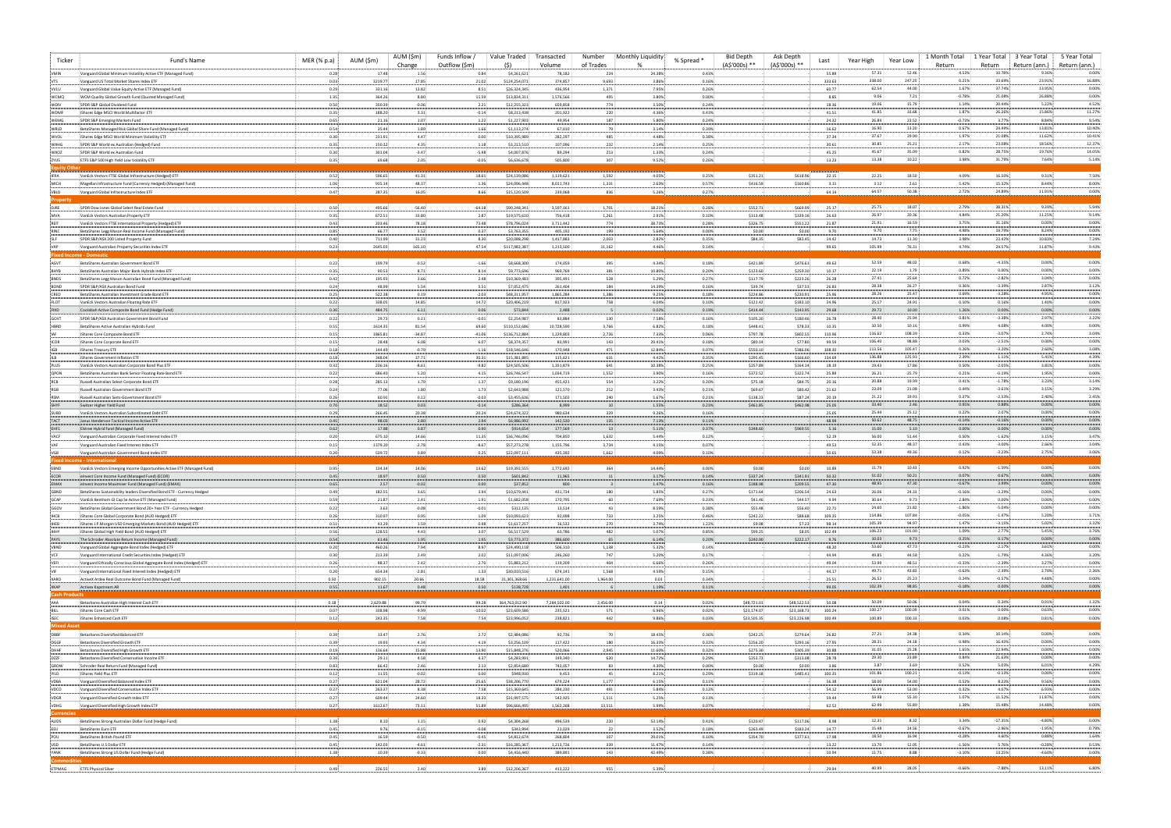| Ticker                            | Fund's Name                                                                                                                    | MER (% p.a)      | AUM (\$m)         | AUM (\$m)<br>Change | Funds Inflow<br>Outflow (\$m) | Value Traded<br>(S)          | Transacted<br>Volume   | Number<br>of Trades | Monthly Liquidity | % Spread *     | <b>Bid Depth</b><br>(A\$'000s) ** | Ask Depth<br>(A\$'000s) ** | Year High<br>Last | Year Low                            | 1 Month Total<br>Return | 1 Year Total<br>Return | 3 Year Total<br>Return (ann.) | 5 Year Total<br>Return (ann.) |
|-----------------------------------|--------------------------------------------------------------------------------------------------------------------------------|------------------|-------------------|---------------------|-------------------------------|------------------------------|------------------------|---------------------|-------------------|----------------|-----------------------------------|----------------------------|-------------------|-------------------------------------|-------------------------|------------------------|-------------------------------|-------------------------------|
| <b>VMIN</b>                       | Vanguard Global Minimum Volatility Active ETF (Managed Fund)                                                                   | 0.28             | 17.48             | 1.56                | 0.84                          | \$4,261,621                  | 78,182                 | 22                  | 24.38%            | 0.43%          |                                   |                            | 55.89             | 52.46<br>57.31                      | 4.53%                   | 10.78%                 | 9.36%                         | 0.00%                         |
| VTS<br>VVLU                       | Vanguard US Total Market Shares Index FT<br>Vanguard Global Value Equity Active ETF (Managed Fund)                             | 0.03<br>0.29     | 3219.77<br>331.16 | 17.85<br>13.82      | 21.02<br>8.51                 | \$124,254,07<br>\$26,324,345 | 374,857<br>436,954     | 9,693<br>1,371      | 3.86%<br>7.95%    | 0.16%<br>0.26% |                                   |                            | 333.63<br>60.77   | 338.00<br>247.25<br>62.54<br>44.00  | 0.21%<br>1.67%          | 33.69%<br>37.74%       | 23.91%<br>13.95%              | 16.88%<br>0.00%               |
| WCMQ                              | WCM Quality Global Growth Fund (Quoted Managed Fund)                                                                           | 1.35             | 364.26            | 8.80                | 11.59                         | \$13,834,311                 | 1,576,566              | 495                 | 3.80%             | 0.00%          |                                   |                            | 8.85              | 7.21<br>9.06                        | $-0.78%$                | 21.08%                 | 26.88%                        | 0.00%                         |
| WDIV<br>WDMF                      | SPDR S&P Global Dividend Fund<br>: iShares Edge MSCI World Multifactor ETF                                                     | 0.50<br>0.35:    | 350.39<br>188.20  | $-0.06$<br>3.31:    | 2.21<br>$-0.14$ :             | \$12,255,323<br>\$8,213,438  | 659,858<br>201,922     | 774<br>220          | 3.50%<br>4.36%    | 0.24%<br>0.43% |                                   |                            | 18.36<br>41.51    | 15.79<br>19.06<br>33.68<br>41.85    | 1.14%<br>1.87%          | 20.44%<br>26.26%       | 5.22%<br>15.86%               | 4.52%<br>11.27%               |
| WEMG                              | SPDR S&P Emerging Markets Fund                                                                                                 | 0.65             | 21.16             | 1.07                | 1.22:                         | \$1,227,903                  | 49,954                 | 187                 | 5.80%             | 0.24%          |                                   |                            | 24.32             | 26.84<br>23.52                      | $-0.73%$                | 3.77%                  | 8.84%                         | 9.54%                         |
| WRLD<br>WVOL                      | BetaShares Managed Risk Global Share Fund (Managed Fund)<br>iShares Edge MSCI World Minimum Volatility ETF                     | 0.54<br>0.30     | 35.44<br>231.91   | 1.89<br>4.47        | 1.66<br>0.00                  | \$1,113,274<br>\$10,395,989  | 67,010<br>282,297      | 48                  | 3.14%<br>4.48%    | 0.39%<br>0.38% |                                   |                            | 16.62<br>37.34    | 13.20<br>16.90<br>37.67<br>29.90    | 0.67%<br>1.97%          | 24.49%<br>21.08%       | 13.81%<br>11.62%              | 10.40%<br>10.41%              |
| <b>WXHG</b>                       | SPDR S&P World ex Australian (Hedged) Fund                                                                                     | 0.35             | 150.32            | 4.35                | 1.18                          | \$3,213,510                  | 107,096                | 23                  | 2.14%             | 0.25%          |                                   |                            | 30.61             | 25.21<br>30.85                      | 2.17%                   | 23.08%                 | 18.56%                        | 12.37%                        |
| <b>WXOZ</b>                       | SPDR S&P World ex Australian Fund<br>ETFS S&P 500 High Yield Low Volatility ETF                                                | 0.30<br>0.35:    | 301.04<br>69.68   | $-3.47$<br>2.05     | $-5.98$<br>$-0.05$            | \$4,007,876<br>\$6,636,678   | 89,294<br>505,800      | 21<br>307           | 1.33%<br>9.52%    | 0.24%<br>0.26% |                                   |                            | 45.25<br>13.23    | 35.09<br>45.67<br>13.38<br>10.22    | 0.82%<br>3.98%          | 28.75%<br>31.79%       | 19.76%<br>7.64%               | 14.05%<br>5.14%               |
| ZYUS<br>Equity Othe               |                                                                                                                                |                  |                   |                     |                               |                              |                        |                     |                   |                |                                   |                            |                   |                                     |                         |                        |                               |                               |
| <b>IFRA</b>                       | VanEck Vectors FTSE Global Infrastructure (Hedged) ETF                                                                         | 0.52             | 596.65            | 41.31               | 18.61                         | \$24,139,086                 | 1,119,621              | 1,592               | 4.05%             | 0.25%          | \$351.21                          | \$618.96                   | 22.15             | 22.25<br>18.50<br>3.12              | 4.09%<br>5.42%          | 16.50%                 | 9.31%                         | 7.50%<br>8.00%                |
| MICH<br>VBLD                      | Magellan Infrastructure Fund (Currency Hedged) (Managed Fund)<br>Vanguard Global Infrastructure Index ETF                      | 1.06<br>0.47     | 915.14<br>287.35  | 48.37<br>16.05      | 1.36<br>8.66                  | \$24,096,448<br>\$15,120,509 | 8,011,743<br>239,068   | 1,331<br>836        | 2.63%<br>5.26%    | 0.57%<br>0.27% | \$416.59                          | \$160.86                   | 3.11<br>64.14     | 2.61:<br>64.57<br>50.38             | 2.72%                   | 15.32%<br>24.89%       | 8.44%<br>11.91%               | 0.00%                         |
| ropert                            |                                                                                                                                |                  |                   |                     |                               |                              |                        |                     |                   |                |                                   |                            |                   |                                     |                         |                        |                               |                               |
| DJRE<br><b>MVA</b>                | SPDR Dow Jones Global Select Real Estate Fund<br>VanEck Vectors Australian Property ETP                                        | 0.50<br>0.35:    | 495.66<br>672.51  | $-56.40$<br>33.80   | $-64.18$<br>2.87              | \$90,248,341<br>\$19,575,610 | 3,597,161<br>756,418   | 1,701<br>1,261      | 18.21%<br>2.91%   | 0.28%<br>0.10% | \$552.71<br>\$313.48              | \$669.99<br>\$339.16       | 25.17<br>26.63    | 25.75<br>18.07<br>26.97<br>20.36    | 2.79%<br>4.84%          | 38.31%<br>21.20%       | 9.39%<br>11.25%               | 5.94%<br>9.14%                |
|                                   | VanEck Vectors FTSE International Property (Hedged) ETF                                                                        | 0.43             | 203.46            | 78.18               | 73.48                         | \$78,796,024                 | 3,711,442              | 774                 | 38.73%            | 0.28%          | \$326.75                          | \$551.22                   | 21.87             | 21.91<br>16.59                      | 3.75%                   | 31.16%                 | 0.00%                         | 0.00%                         |
| RINC                              | BetaShares Legg Mason Real Income Fund (Managed Fund)<br>SPDR S&P/ASX 200 Listed Property Fund                                 | 0.85<br>0.40     | 66.77<br>711.99   | 3.52<br>31.23       | 0.37<br>8.30                  | \$3,763,355<br>\$20,088,298  | 405,192<br>1,417,883   | 199<br>2,003        | 5.64%<br>2.82%    | 0.00%<br>0.35% | \$0.00<br>\$84.35                 | \$0.00<br>\$83.45          | 9.70<br>14.42     | 9.70:<br>$7.75$ :<br>11.30<br>14.73 | 4.98%<br>3.98%          | 19.79%<br>23.42%       | 8.24%<br>10.83%               | 0.00%<br>7.24%                |
|                                   | Vanguard Australian Property Securities Index ETF                                                                              | 0.23             | 2645.03           | 165.10              | 47.54                         | \$117,982,387                | 1,213,500              | 11,162              | 4.46%             | 0.14%          |                                   |                            | 99.65             | 76.31<br>105.99                     | 4.74%                   | 24.57%                 | 11.87%                        | 9.43%                         |
| AGVT                              | <b>Fixed Income - Domestic</b><br>BetaShares Australian Government Bond ETF                                                    | 0.22:            | 199.79            | $-0.52$             | $-1.66$                       | \$8,668,300                  | 174,059                | 395                 | 4.34%             | 0.18%          | \$421.89                          | \$476.61                   | 49.63             | 52.59<br>48.02                      | 0.68%                   | $-4.35%$               | 0.00%                         | 0.00%                         |
|                                   | BetaShares Australian Major Bank Hybrids Index ETF                                                                             | 0.35             | 90.53             | 8.71                | 8.14                          | \$9,773,696                  | 969,769                | 381                 | 10.80%            | 0.20%          | \$123.60                          | \$259.30                   | 10.17             | 22.19<br>1.79                       | 0.89%                   | 0.00%                  | 0.00%                         | 0.00%                         |
| <b>BNDS</b>                       | BetaShares Legg Mason Australian Bond Fund (Managed Fund)                                                                      | 0.42             | 195.93            | 3.66                | 2.48                          | \$10,369,483                 | 395,491                | 528                 | 5.29%             | 0.27%          | \$117.79                          | \$223.26                   | 26.28             | 27.41<br>25.64<br>28.38<br>26.27    | 0.72%<br>0.36%          | $-2.82%$<br>$-3.39%$   | 3.04%<br>2.87%                | 0.00%<br>3.12%                |
| BOND<br>CRED                      | SPDR S&P/ASX Australian Bond Fund<br>BetaShares Australian Investment Grade Bond ETF                                           | 0.24<br>0.25     | 48.99<br>522.38   | 5.54<br>0.19        | 5.51<br>$-2.03$               | \$7,052,475<br>\$48,311,95   | 261,404<br>1,865,284   | 184<br>1,386        | 14.39%<br>9.25%   | 0.16%<br>0.18% | \$39.74<br>\$224.86               | \$37.53<br>\$230.91        | 26.83<br>25.96    | 25.47<br>28.26                      | 0.69%                   | $-3.28%$               | 4.95%                         | 0.00%                         |
| <b>FLOT</b>                       | VanEck Vectors Australian Floating Rate ETF                                                                                    | 0.22             | 338.05            | 14.85               | 14.72                         | \$20,406,219                 | 817,923                | 75                  | 6.04%             | 0.10%          | \$121.42                          | \$183.1                    | 24.96             | 24.91<br>25.17                      | 0.10%                   | 0.16%                  | 1.40%                         | 0.00%                         |
| GOVT                              | Coolabah Active Composite Bond Fund (Hedge Fund)<br>SPDR S&P/ASX Australian Government Bond Fund                               | 0.30<br>0.22     | 484.75<br>29.73   | 6.11<br>0.11        | 0.06<br>$-0.01$               | \$73,844<br>\$2,254,98       | 2,488<br>83,884        | 130                 | 0.02%<br>7.58%    | 0.19%<br>0.16% | \$414.44<br>\$105.20              | \$143.95<br>\$180.46       | 29.68<br>26.78    | 10.00<br>29.72<br>28.40<br>25.94    | 1.26%<br>0.81%          | 0.00%<br>$-3.38%$      | 0.00%<br>2.97%                | 0.00%<br>3.22%                |
| HBRD                              | : BetaShares Active Australian Hybrids Fund                                                                                    | 0.55             | 1614.35           | 81.54               | 69.60                         | \$110,152,686                | 10,728,590             | 3,766               | 6.82%             | 0.18%          | \$448.41                          | \$78.33                    | 10.35             | 10.50<br>10.16                      | 0.99%                   | 4.08%                  | 4.00%                         | 0.00%                         |
|                                   | IShares Core Composite Bond ETF<br>IShares Core Corporate Bond ETF                                                             | 0.15<br>$0.15$ : | 1865.81<br>28.48  | $-34.87$<br>6.08.   | $-41.06$<br>6.07              | \$136,712,884<br>\$8,374,357 | 1,229,803<br>83,991    | 2,726<br>14         | 7.33%<br>29.41%   | 0.06%<br>0.18% | \$797.78<br>\$80.14               | \$802.55<br>\$77.80        | 110.96<br>99.59   | 108.39<br>116.62<br>106.40<br>98.88 | 0.33%<br>0.03%          | $-3.07%$<br>$-2.51%$   | 2.74%<br>0.00%                | 3.04%<br>0.00%                |
| ICOR<br>IGB                       | IShares Treasury ETF                                                                                                           | 0.18             | 144.49            | $-0.79$             | $-1.16$                       | \$18,546,646                 | 170,948                | 47                  | 12.84%            | 0.07%          | \$550.10                          | \$386.0                    | 108.30            | 113.56<br>105.47                    | 0.26%                   | $-3.20%$               | 2.60%                         | 3.08%                         |
|                                   | IShares Government Inflation ETF                                                                                               | 0.18             | 348.04            | 37.71               | 30.31                         | \$15,381,885                 | 115,621                | 63                  | 4.42%             | 0.35%          | \$295.45                          | \$166.60                   | 134.69            | 136.88<br>125.93<br>19.43<br>17.86  | 2.39%<br>0.50%          | 1.11%<br>$-2.05%$      | 5.41%<br>3.81%                | 4.39%<br>0.00%                |
| PLUS<br><b>QPON</b>               | VanEck Vectors Australian Corporate Bond Plus ETF<br>BetaShares Australian Bank Senior Floating Rate Bond ETF                  | 0.32:<br>0.22    | 236.16<br>686.40  | $-8.61$<br>5.20     | $-9.82$<br>4.15               | \$24,505,506<br>\$26,746,54  | 1,351,879<br>1,034,719 | 64<br>1,552         | 10.38%<br>3.90%   | 0.25%<br>0.16% | \$257.89<br>\$372.52              | \$164.14<br>\$322.74       | 18.19<br>25.89    | 26.21<br>25.79                      | 0.21%                   | $-0.19%$               | 1.95%                         | 0.00%                         |
| RCB                               | Russell Australian Select Corporate Bond ETI                                                                                   | 0.28             | 285.13            | 1.79                | 1.37                          | \$9,180,196                  | 455,421                | 554                 | 3.22%             | 0.20%          | \$75.18                           | \$84.75                    | 20.16             | 20.88<br>19.99                      | 0.41%                   | $-1.78%$               | 3.23%                         | 3.14%                         |
| RGB<br>RSM                        | Russell Australian Government Bond ETF<br>Russell Australian Semi-Government Bond ETF                                          | 0.24<br>0.26     | 77.06<br>60.91    | 1.80<br>0.12        | 1.73<br>$-0.03$               | \$2,643,988<br>\$3,455,636   | 121,570<br>171,502     | 212<br>240          | 3.43%<br>5.67%    | 0.21%<br>0.21% | \$69.67<br>\$138.23               | \$80.42<br>\$87.24         | 21.62<br>20.19    | 21.08<br>23.09<br>21.22<br>19.93    | 0.44%<br>0.37%          | $-3.61%$<br>$-2.53%$   | 3.15%<br>2.40%                | 3.29%<br>2.45%                |
|                                   | Switzer Higher Yield Fund                                                                                                      | 0.70             | 18.52             | $0.03 -$            | $-0.14$                       | \$286,364                    | 8,999                  |                     | 1.55%             | 0.23%          | \$461.85                          | \$462.98                   | 25.05             | 33.40<br>2.46                       | 0.95%                   | 0.88%                  | 0.00%                         | 0.00%                         |
| SUBD<br>TACT                      | VanEck Vectors Australian Subordinated Debt ETF<br>Janus Henderson Tactical Income Active ETF                                  | 0.29<br>0.45     | 266.45<br>98.03   | 20.38<br>2.80       | 20.24<br>2.94                 | \$24,674,322<br>\$6,986,992  | 980,634<br>142,530     | 329<br>13           | 9.26%<br>7.13%    | 0.16%<br>0.11% |                                   |                            | 25.05<br>48.99    | 25.12<br>25.44<br>50.62<br>48.75    | 0.22%<br>$-0.14%$       | 2.07%<br>$-0.16%$      | 0.00%<br>0.00%                | 0.00%<br>0.00%                |
| EHF1                              | Elstree Hybrid fund (Managed Fund)                                                                                             | 0.62             | 17.88             | 0.87                | 0.90:                         | \$914,654                    | 177,569                |                     | 5.11%             | 0.37%          | \$348.60                          | \$969.55                   | 5.16              | 15.00<br>5.10:                      | 0.00%                   | 0.00%                  | 0.00%                         | 0.00%                         |
| VACF                              | Vanguard Australian Corporate Fixed Interest Index ETF                                                                         | 0.20<br>$0.15$ : | 675.10            | 14.66<br>$-2.78$    | 11.35<br>$-8.67$              | \$36,746,096<br>\$57,273,278 | 704,850<br>1,155,796   | 1,632<br>3,734      | 5.44%<br>4.15%    | 0.12%<br>0.07% |                                   |                            | 52.19<br>49.53    | 56.00<br>51.44<br>52.35<br>48.37    | 0.50%<br>0.43%          | $-1.62%$<br>$-3.00%$   | 3.15%<br>2.66%                | 3.47%<br>3.04%                |
| VAF<br>VGB                        | Vanguard Australian Fixed Interest Index ETF<br>Vanguard Australian Government Bond Index ETF                                  | 0.20             | 1379.20<br>539.72 | 0.89                | 0.25                          | \$22,097,111                 | 435,392                | 1,662               | 4.09%             | 0.10%          |                                   |                            | 50.65             | 53.38<br>49.36                      | 0.12%                   | $-3.23%$               | 2.75%                         | 3.06%                         |
|                                   | <b>Fixed Income - Internationa</b>                                                                                             |                  |                   |                     |                               |                              |                        |                     |                   |                |                                   |                            |                   | 10.43<br>11.79                      | 0.92%                   | $-1.59%$               | 0.00%                         | 0.00%                         |
| EBND<br><b>ECOR</b>               | VanEck Vectors Emerging Income Opportunities Active ETF (Managed Fund)<br>elnvest Core Income Fund (Managed Fund) (ECOR)       | 0.95:<br>0.45    | 134.34<br>18.97   | 14.06<br>0.50       | 13.62:<br>0.50                | \$19,392,555<br>\$601,842    | 1,772,692<br>11,965    | 364                 | 14.44%<br>3.17%   | 0.00%<br>0.14% | \$0.00<br>\$337.24                | \$0.00<br>\$341.91         | 10.89<br>50.32    | 51.02<br>50.21                      | 0.07%                   | 0.67%                  | 0.00%                         | 0.00%                         |
| EMAX                              | elnvest Income Maximiser Fund (Managed Fund) (EMAX)                                                                            | 0.65:            | 2.57              | $-0.02$             | 0.00                          | \$37,852                     | 800                    |                     | 1.47%             | 0.16%          | \$188.98                          | \$209.55                   | 47.30             | 48.95<br>47.30                      | $-0.67%$                | 3.99%                  | 0.00%                         | 0.00%                         |
| GBND<br>GCAP                      | BetaShares Sustainability leaders Diversified Bond ETF - Currency Hedged<br>VanEck Bentham GI Cap Se Active ETF (Managed Fund) | 0.49.<br>0.59.   | 182.55<br>21.87   | 3.65<br>2.41        | 3.94<br>1.91                  | \$10,679,441<br>\$1,682,058  | 431,734<br>170,795     | 180                 | 5.85%:<br>7.69%   | 0.27%<br>0.33% | \$171.64<br>\$41.46               | \$206.54<br>\$44.57        | 24.63<br>9.94     | 26.06<br>24.33<br>30.64<br>9.73     | $-0.16%$<br>2.84%       | $-3.29%$<br>0.00%      | 0.00%<br>0.00%                | 0.00%<br>0.00%                |
| GGOV                              | BetaShares Global Government Bond 20+ Year ETF - Currency Hedged                                                               | 0.22             | 3.63              | $-0.08$             | $-0.01$                       | \$312,135                    | 13,514                 |                     | 8.59%             | 0.38%          | \$55.48                           | \$56.40                    | 22.71             | 24.60<br>21.82                      | $-1.86%$                | $-5.04%$               | 0.00%                         | 0.00%                         |
| IHCB<br>IHEB                      | IShares Core Global Corporate Bond (AUD Hedged) ETF<br>IShares J.P.Morgan USD Emerging Markets Bond (AUD Hedged) ETF           | 0.26<br>0.51     | 310.97<br>43.29   | 0.95<br>1.59        | 1.09<br>0.98                  | \$10,093,623<br>\$1,617,257  | 92,098<br>16,532       | 733<br>270          | 3.25%<br>3.74%    | 0.46%<br>1.22% | \$242.22<br>\$9.08                | \$88.68<br>\$7.23          | 109.35<br>98.14   | 114.86<br>107.84<br>105.39<br>94.97 | $-0.05%$<br>1.47%       | $-1.47%$<br>$-3.15%$   | 5.20%<br>5.02%                | 3.71%<br>3.32%                |
| IHHY                              | iShares Global High Yield Bond (AUD Hedged) ETF                                                                                | 0.56             | 128.55            | 4.43                | 3.07                          | \$6,517,529                  | 63,786                 | 482                 | 5.07%             | 0.85%          | \$99.25                           | \$8.05                     | 102.49            | 106.23<br>101.00                    | 1.09%                   | 2.77%                  | 5.45%                         | 3.76%                         |
| PAYS<br>VBND                      | The Schroder Absolute Return Income (Managed Fund)<br>Vanguard Global Aggregate Bond Index (Hedged) ETF                        | 0.54<br>0.20     | 61.46<br>460.26   | 1.95<br>7.94        | 1.95<br>8.97                  | \$3,773,372<br>\$24,490,118  | 386,600<br>506,310     | 1,138               | 6.14%<br>5.32%    | 0.20%<br>0.14% | \$240.90                          | \$222.17                   | 9.76<br>48.20     | 10.03<br>9.73<br>53.60<br>47.73     | 0.25%<br>$-0.23%$       | 0.17%<br>$-2.17%$      | 0.00%<br>3.61%                | 0.00%<br>0.00%                |
| VCF                               | Vanguard International Credit Securities Index (Hedged) ETF                                                                    | 0.30             | 213.39            | 2.49                | 2.02                          | \$11,097,006                 | 246,260                | 747                 | 5.20%             | 0.17%          |                                   |                            | 44.94             | 49.85<br>44.58                      | 0.22%                   | $-1.79%$               | 4.36%                         | 3.20%                         |
| VEFI                              | Vanguard Ethically Conscious Global Aggregate Bond Index (Hedged) ETF                                                          | 0.26<br>0.20     | 88.37<br>654.34   | 2.42<br>$-2.81$     | 2.70<br>1.33                  | \$5,883,212<br>\$30,010,516  | 119,209<br>674,141     | 404<br>1,568        | 6.66%<br>4.59%    | 0.26%<br>0.15% |                                   |                            | 49.04<br>44.17    | 53.99<br>48.51<br>49.71<br>43.83    | $-0.33%$<br>$-0.63%$    | $-2.39%$<br>$-2.39%$   | 3.27%<br>2.70%                | 0.00%<br>2.36%                |
| VIF<br>XARO                       | Vanguard International Fixed Interest Index (Hedged) ETF<br>ActiveX Ardea Real Outcome Bond Fund (Managed Fund)                | 0.50             | 902.15            | 20.66               | 18.58                         | 31,301,368.66                | 1,231,641.00           | 1,964.00            | 0.03              | 0.34%          |                                   |                            | 25.51             | 26.52<br>25.23                      | 0.24%                   | $-0.57%$               | 4.48%                         | 0.00%                         |
| ХКАР<br><b>Cash Products</b>      | Activex Kapstream AR                                                                                                           | 0.55             | 11.67             | 0.48:               | $0.50 -$                      | \$138,728                    | 1,401                  |                     | 1.19%             | 0.11%          |                                   |                            | 99.05             | 102.39<br>98.85                     | $-0.18%$                | 0.00%                  | $0.00\%$                      | 0.00%                         |
| AAA                               | Betashares Australian High Interest Cash ETF                                                                                   | 0.18             | 2,629.88          | 99.79               | 99.28                         | 364,763,012.90               | 7,284,502.00           | 2,456.00            | 0.14              | 0.02%          | \$48,721.01                       | \$48,522.53                | 50.08             | 50.09<br>50.06                      | 0.04%                   | 0.34%                  | 0.91%                         | 1.32%                         |
| BILL                              | iShares Core Cash ETF                                                                                                          | 0.07             | 338.98            | $-9.99$             | $-10.02$                      | \$23,609,586                 | 235,521                | 571                 | 6.96%             | 0.02%          | \$23,174.07                       | \$23,168.73                | 100.24            | 100.27<br>100.09                    | 0.01%                   | 0.00%                  | 0.63%                         | 0.00%                         |
| <b>ISEC</b><br><b>Mixed Asset</b> | iShares Enhanced Cash ETF                                                                                                      | 0.12             | 243.35            | 7.58                | 7.54                          | \$23,996,052                 | 238,821                | 442                 | 9.86%             | 0.03%          | \$23,505.35                       | \$23,226.98                | 100.49            | 100.89<br>100.33                    | 0.03%                   | 0.08%                  | 0.81%                         | 0.00%                         |
| DBBF                              | Betashares Diversified Balanced ETF                                                                                            | $0.39 -$         | 13.47             | 2.76                | 2.72:                         | \$2,484,086                  | 92,736                 | 70                  | 18.45%            | 0.36%          | \$242.25                          | \$279.64                   | 26.82             | 27.21<br>24.38                      | 0.34%                   | 10.14%                 | 0.00%                         | 0.00%                         |
| DGGF<br>DHHF                      | Betashares Diversified Growth ETF<br>Betashares Diversified High Growth ETF                                                    | 0.39<br>0.19     | 19.93<br>136.64   | 4.34<br>15.88       | 4.19<br>13.90                 | \$3,256,109<br>\$15,848,276  | 117,422<br>520,066     | 180<br>2,945        | 16.33%<br>11.60%  | 0.32%<br>0.32% | \$256.20<br>\$275.30              | \$293.16<br>\$305.39       | 27.95<br>30.88    | 28.31<br>24.18<br>31.05<br>25.28    | 0.98%<br>1.65%          | 16.43%<br>22.94%       | 0.00%<br>0.00%                | 0.00%<br>0.00%                |
| DZZF                              | Betashares Diversified Conservative Income ETF                                                                                 | 0.39             | 29.11             | 4.58                | 4.37                          | \$4,283,991                  | 149,340                | 620                 | 14.72%            | 0.29%          | \$253.73                          | \$313.08                   | 28.78             | 29.30<br>23.89                      | 0.84%                   | 21.63%                 | 0.00%                         | 0.00%                         |
| GROW                              | Schroder Real Return Fund (Managed Fund)<br>IShares Yield Plus ETF                                                             | $0.83 -$<br>0.12 | 66.42<br>11.55    | 2.46:<br>$-0.02$    | 2.13<br>0.00:                 | \$2,854,680<br>\$948,930     | 743,057<br>9,453       |                     | 4.30%<br>8.21%    | 0.00%<br>0.29% | \$0.00<br>\$319.18                | \$0.00<br>\$485.41         | 3.86<br>100.35    | 3.87<br>3.69:<br>101.86<br>100.21   | 0.52%<br>$-0.13%$       | 5.03%<br>$-0.13%$      | 6.01%<br>0.00%                | 4.29%<br>0.00%                |
| IYLD<br>VDBA                      | Vanguard Diversified Balanced Index ETF                                                                                        | 0.27             | 621.04            | 28.72               | 25.65                         | \$38,206,770                 | 679,224                | 1,177               | 6.15%             | 0.11%          |                                   |                            | 56.38             | 58.00<br>54.00                      | 0.52%                   | 8.23%                  | 9.56%                         | 0.00%                         |
| VDCO                              | Vanguard Diversified Conservative Index ETF                                                                                    | 0.27:            | 263.37            | 8.38                | 7.58                          | \$15,369,645                 | 284,230                | 491                 | 5.84%             | 0.12%          |                                   |                            | 54.12             | 56.99<br>53.00                      | 0.32%                   | 4.07%                  | 6.93%                         | 0.00%                         |
| VDGR<br>VDHG                      | Vanguard Diversified Growth Index ETF<br>Vanguard Diversified High Growth Index ETF                                            | 0.27<br>0.27     | 609.44<br>1612.67 | 24.60<br>73.11      | 18.33<br>51.89                | \$31,997,575<br>\$96,666,495 | 542,925<br>1,562,268   | 1,511<br>13,511     | 5.25%<br>5.99%    | 0.13%<br>0.07% |                                   |                            | 59.44<br>62.52    | 59.98<br>55.30<br>55.89<br>62.99    | 1.07%<br>1.38%          | 11.52%<br>15.48%       | 11.87%<br>14.48%              | 0.00%<br>0.00%                |
| <b>Currencies</b>                 |                                                                                                                                |                  |                   |                     |                               |                              |                        |                     |                   |                |                                   |                            |                   |                                     |                         |                        |                               |                               |
| AUDS<br>EEU                       | BetaShares Strong Australian Dollar Fund (Hedge Fund)<br>BetaShares Euro ETF                                                   | 1.38<br>0.45:    | 8.10<br>9.76      | 1.15:<br>$-0.15$    | 0.92:<br>$-0.08$              | \$4,304,268<br>\$343,994     | 496,539<br>23,029      | 220<br>22           | 53.14%<br>3.52%   | 0.41%<br>0.18% | \$120.47<br>\$263.49              | \$117.06<br>\$183.24       | 8.98<br>14.77     | 12.31<br>8.32:<br>15.48<br>14.56    | 3.34%<br>$-0.67%$       | $-17.35%$<br>$-2.96%$  | $-4.80%$<br>$-1.95%$          | 0.00%<br>0.79%                |
| POU                               | BetaShares British Pound ETF                                                                                                   | 0.45:            | 16.59             | $-0.50$             | $-0.45$                       | \$4,812,674                  | 268,804                | 107                 | 29.01%            | 0.10%          | \$354.70                          | \$377.61                   | 17.98             | 18.50<br>16.94                      | $-0.28%$                | 4.60%                  | 0.88%                         | 1.64%                         |
| USD                               | BetaShares U.S Dollar ETF<br>BetaShares Strong US Dollar Fund (Hedge Fund)                                                     | 0.45<br>1.38     | 142.03<br>10.39   | $-4.61$<br>$-0.33:$ | $-2.31$<br>0.00               | \$16,285,367<br>\$4,416,440  | 1,213,726<br>389,891   | 339<br>143          | 11.47%<br>42.49%  | 0.14%<br>0.38% |                                   |                            | 13.22<br>10.94    | 13.70<br>12.05<br>8.88<br>11.75     | $-1.56%$<br>$-3.10%$    | 5.76%<br>13.25%        | $-0.28%$<br>$-4.60%$          | 0.53%<br>0.00%                |
|                                   |                                                                                                                                |                  |                   |                     |                               |                              |                        |                     |                   |                |                                   |                            |                   |                                     |                         |                        |                               |                               |
|                                   | ETPMAG ETFS Physical Silver                                                                                                    | 0.49.            | 226.55            | 2.40                | 3.89                          | \$12,206,367                 | 413,222                | 955                 | 5.39%             | <b>Allen</b>   |                                   |                            | 29.94             | 40.99<br>28.05                      | $-0.66%$                | $-7.88%$               | 13.11%                        | 6.80%                         |